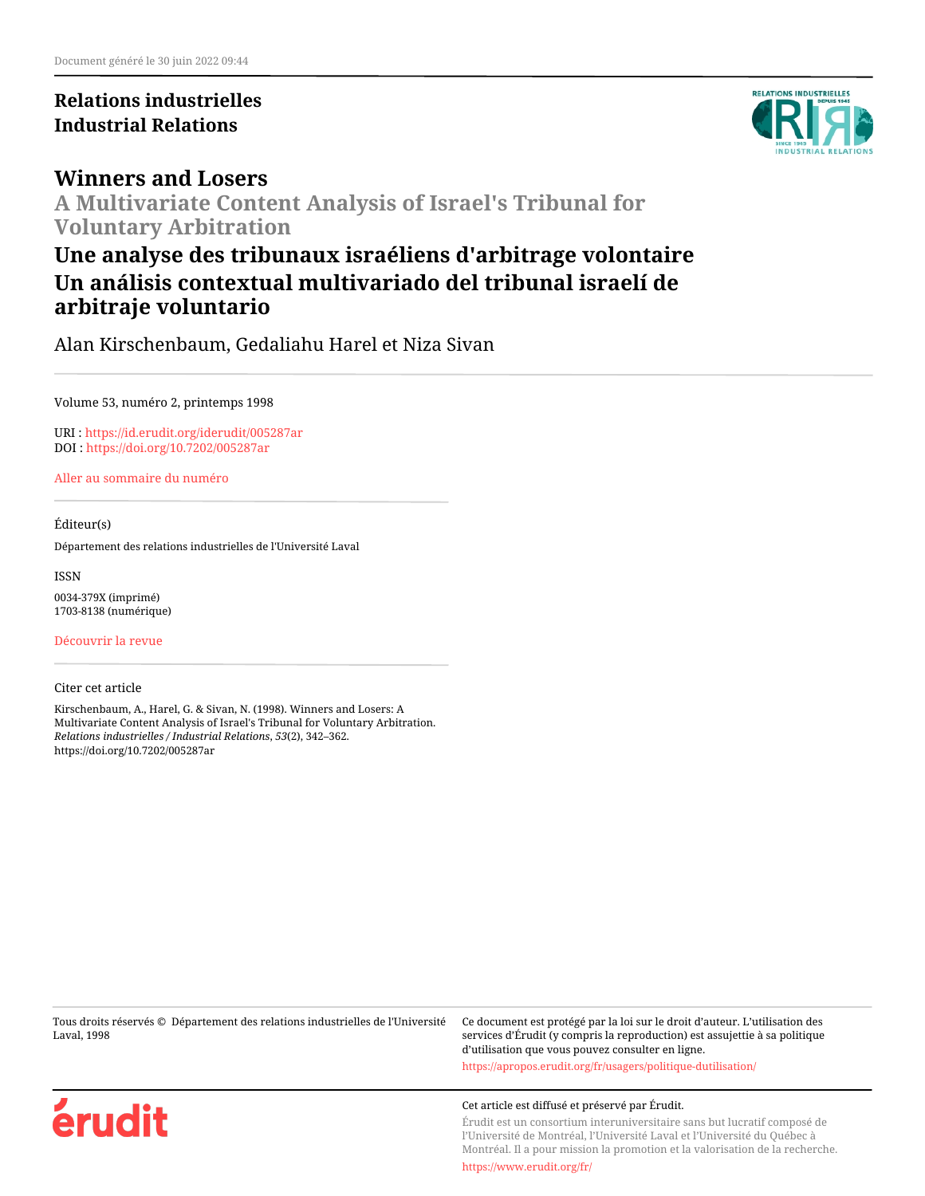# **Relations industrielles Industrial Relations**



# **Winners and Losers**

**A Multivariate Content Analysis of Israel's Tribunal for Voluntary Arbitration**

# **Une analyse des tribunaux israéliens d'arbitrage volontaire Un análisis contextual multivariado del tribunal israelí de arbitraje voluntario**

Alan Kirschenbaum, Gedaliahu Harel et Niza Sivan

Volume 53, numéro 2, printemps 1998

URI :<https://id.erudit.org/iderudit/005287ar> DOI :<https://doi.org/10.7202/005287ar>

[Aller au sommaire du numéro](https://www.erudit.org/fr/revues/ri/1998-v53-n2-ri207/)

## Éditeur(s)

Département des relations industrielles de l'Université Laval

ISSN

0034-379X (imprimé) 1703-8138 (numérique)

[Découvrir la revue](https://www.erudit.org/fr/revues/ri/)

érudit

#### Citer cet article

Kirschenbaum, A., Harel, G. & Sivan, N. (1998). Winners and Losers: A Multivariate Content Analysis of Israel's Tribunal for Voluntary Arbitration. *Relations industrielles / Industrial Relations*, *53*(2), 342–362. https://doi.org/10.7202/005287ar

Tous droits réservés © Département des relations industrielles de l'Université Laval, 1998

Ce document est protégé par la loi sur le droit d'auteur. L'utilisation des services d'Érudit (y compris la reproduction) est assujettie à sa politique d'utilisation que vous pouvez consulter en ligne. <https://apropos.erudit.org/fr/usagers/politique-dutilisation/>

# Cet article est diffusé et préservé par Érudit.

Érudit est un consortium interuniversitaire sans but lucratif composé de l'Université de Montréal, l'Université Laval et l'Université du Québec à Montréal. Il a pour mission la promotion et la valorisation de la recherche.

<https://www.erudit.org/fr/>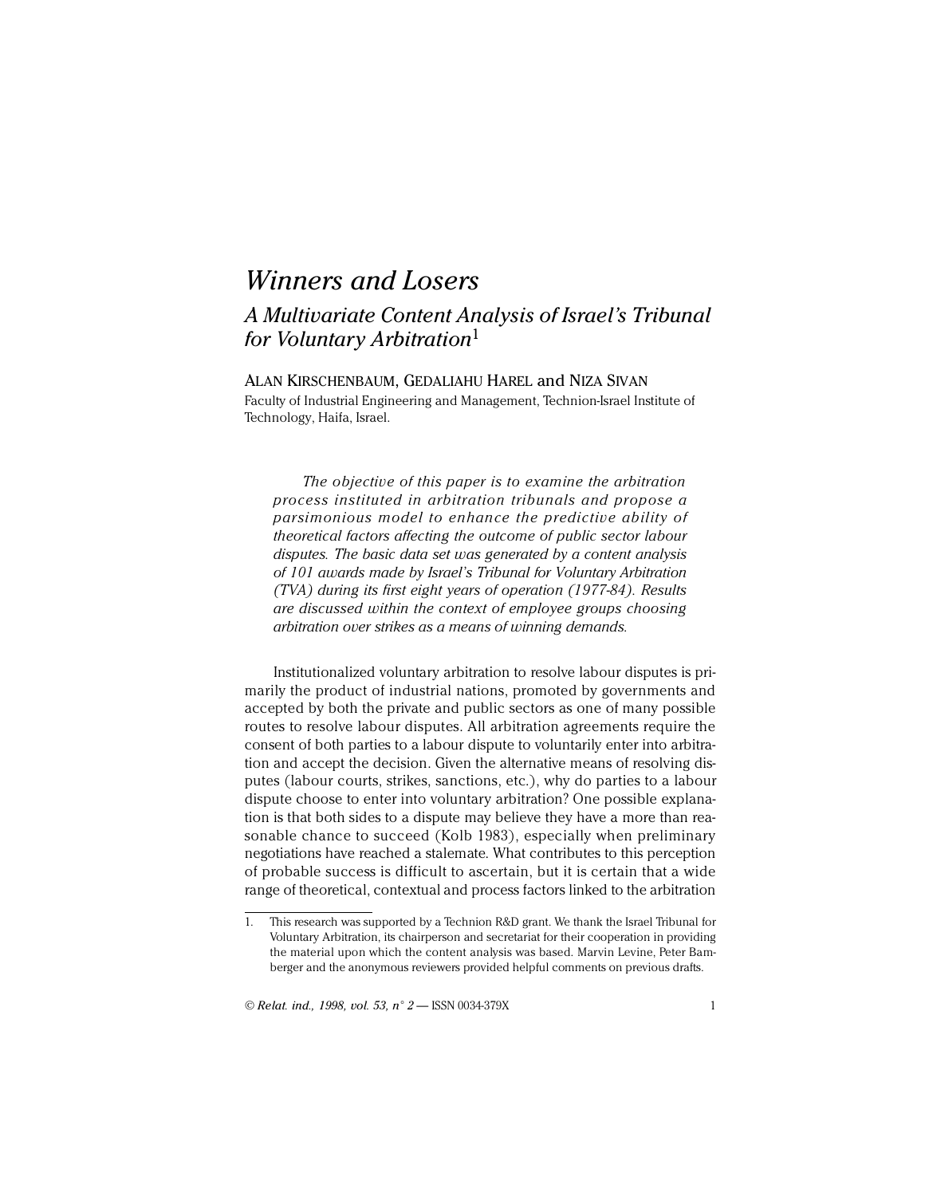# *Winners and Losers*

# *A Multivariate Content Analysis of Israel's Tribunal for Voluntary Arbitration*<sup>1</sup>

ALAN KIRSCHENBAUM, GEDALIAHU HAREL and NIZA SIVAN Faculty of Industrial Engineering and Management, Technion-Israel Institute of Technology, Haifa, Israel.

The objective of this paper is to examine the arbitration *process instituted in arbitration tribunals and propose a parsimonious model to enhance the predictive ability of theoretical factors affecting the outcome of public sector labour disputes. The basic data set was generated by a content analysis of 101 awards made by Israel's Tribunal for Voluntary Arbitration (TVA) during its first eight years of operation (1977-84). Results are discussed within the context of employee groups choosing arbitration over strikes as a means of winning demands.*

Institutionalized voluntary arbitration to resolve labour disputes is primarily the product of industrial nations, promoted by governments and accepted by both the private and public sectors as one of many possible routes to resolve labour disputes. All arbitration agreements require the consent of both parties to a labour dispute to voluntarily enter into arbitration and accept the decision. Given the alternative means of resolving disputes (labour courts, strikes, sanctions, etc.), why do parties to a labour dispute choose to enter into voluntary arbitration? One possible explanation is that both sides to a dispute may believe they have a more than reasonable chance to succeed (Kolb 1983), especially when preliminary negotiations have reached a stalemate. What contributes to this perception of probable success is difficult to ascertain, but it is certain that a wide range of theoretical, contextual and process factors linked to the arbitration

<sup>1.</sup> This research was supported by a Technion R&D grant. We thank the Israel Tribunal for Voluntary Arbitration, its chairperson and secretariat for their cooperation in providing the material upon which the content analysis was based. Marvin Levine, Peter Bamberger and the anonymous reviewers provided helpful comments on previous drafts.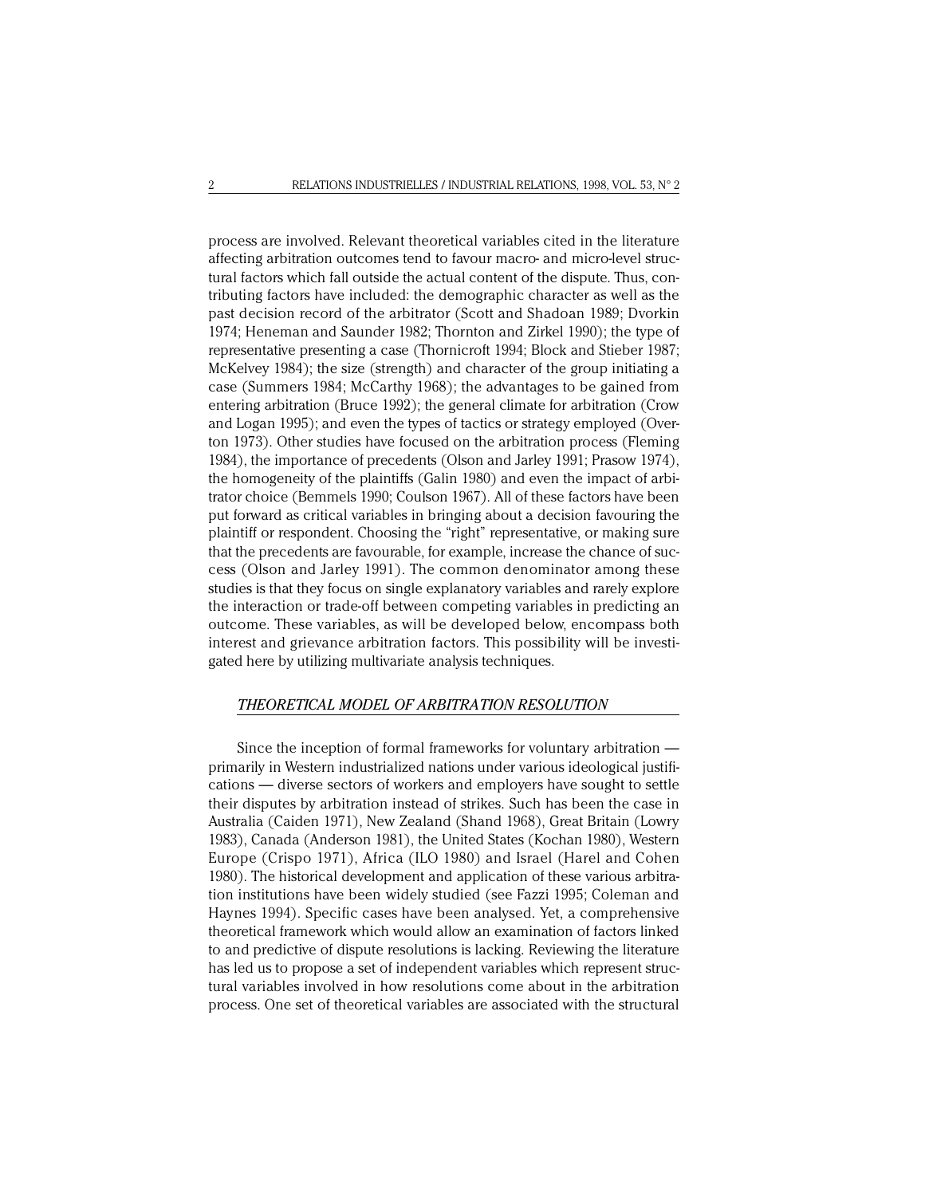process are involved. Relevant theoretical variables cited in the literature affecting arbitration outcomes tend to favour macro- and micro-level structural factors which fall outside the actual content of the dispute. Thus, contributing factors have included: the demographic character as well as the past decision record of the arbitrator (Scott and Shadoan 1989; Dvorkin 1974; Heneman and Saunder 1982; Thornton and Zirkel 1990); the type of representative presenting a case (Thornicroft 1994; Block and Stieber 1987; McKelvey 1984); the size (strength) and character of the group initiating a case (Summers 1984; McCarthy 1968); the advantages to be gained from entering arbitration (Bruce 1992); the general climate for arbitration (Crow and Logan 1995); and even the types of tactics or strategy employed (Overton 1973). Other studies have focused on the arbitration process (Fleming 1984), the importance of precedents (Olson and Jarley 1991; Prasow 1974), the homogeneity of the plaintiffs (Galin 1980) and even the impact of arbitrator choice (Bemmels 1990; Coulson 1967). All of these factors have been put forward as critical variables in bringing about a decision favouring the plaintiff or respondent. Choosing the "right" representative, or making sure that the precedents are favourable, for example, increase the chance of success (Olson and Jarley 1991). The common denominator among these studies is that they focus on single explanatory variables and rarely explore the interaction or trade-off between competing variables in predicting an outcome. These variables, as will be developed below, encompass both interest and grievance arbitration factors. This possibility will be investigated here by utilizing multivariate analysis techniques.

#### *THEORETICAL MODEL OF ARBITRATION RESOLUTION*

Since the inception of formal frameworks for voluntary arbitration primarily in Western industrialized nations under various ideological justifications — diverse sectors of workers and employers have sought to settle their disputes by arbitration instead of strikes. Such has been the case in Australia (Caiden 1971), New Zealand (Shand 1968), Great Britain (Lowry 1983), Canada (Anderson 1981), the United States (Kochan 1980), Western Europe (Crispo 1971), Africa (ILO 1980) and Israel (Harel and Cohen 1980). The historical development and application of these various arbitration institutions have been widely studied (see Fazzi 1995; Coleman and Haynes 1994). Specific cases have been analysed. Yet, a comprehensive theoretical framework which would allow an examination of factors linked to and predictive of dispute resolutions is lacking. Reviewing the literature has led us to propose a set of independent variables which represent structural variables involved in how resolutions come about in the arbitration process. One set of theoretical variables are associated with the structural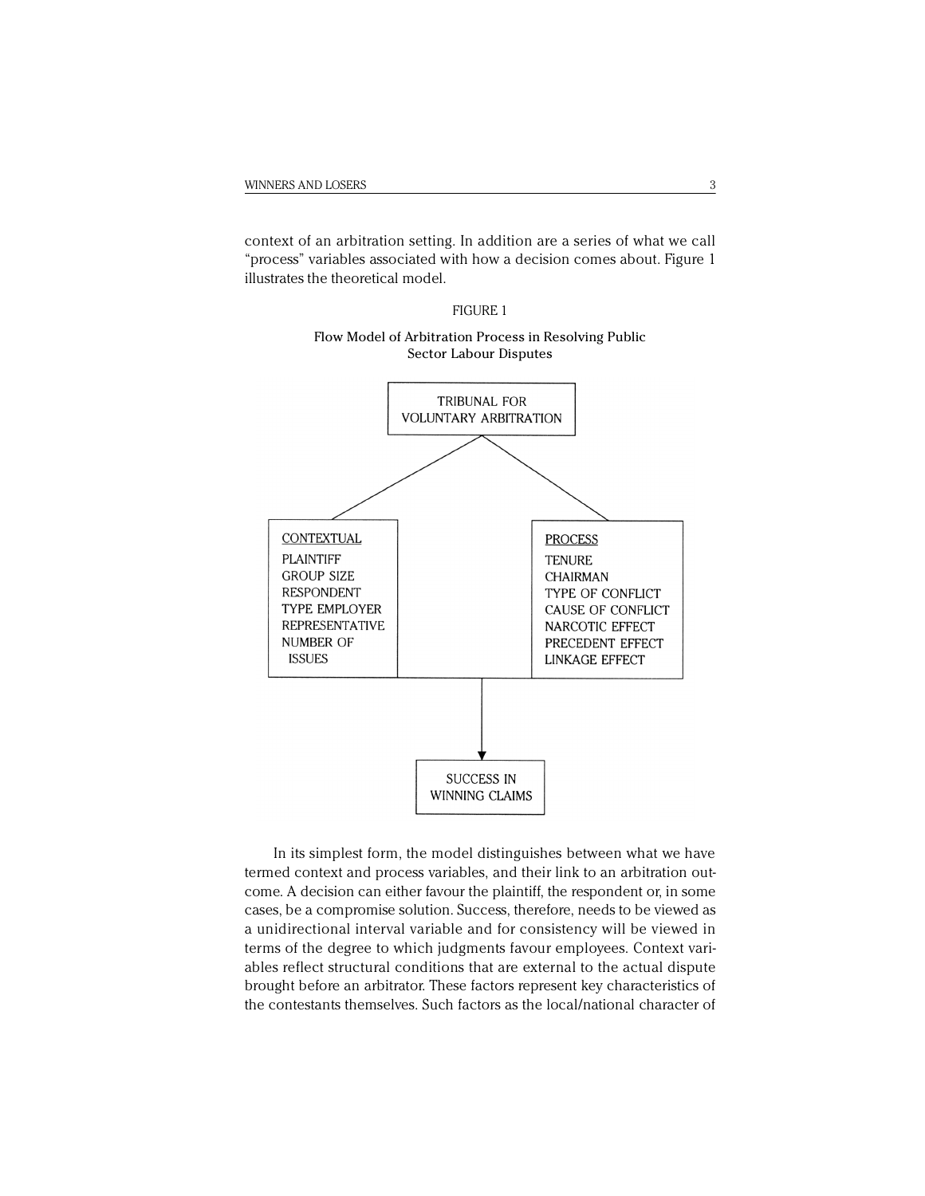context of an arbitration setting. In addition are a series of what we call "process" variables associated with how a decision comes about. Figure 1 illustrates the theoretical model.





FIGURE 1

In its simplest form, the model distinguishes between what we have termed context and process variables, and their link to an arbitration outcome. A decision can either favour the plaintiff, the respondent or, in some cases, be a compromise solution. Success, therefore, needs to be viewed as a unidirectional interval variable and for consistency will be viewed in terms of the degree to which judgments favour employees. Context variables reflect structural conditions that are external to the actual dispute brought before an arbitrator. These factors represent key characteristics of the contestants themselves. Such factors as the local/national character of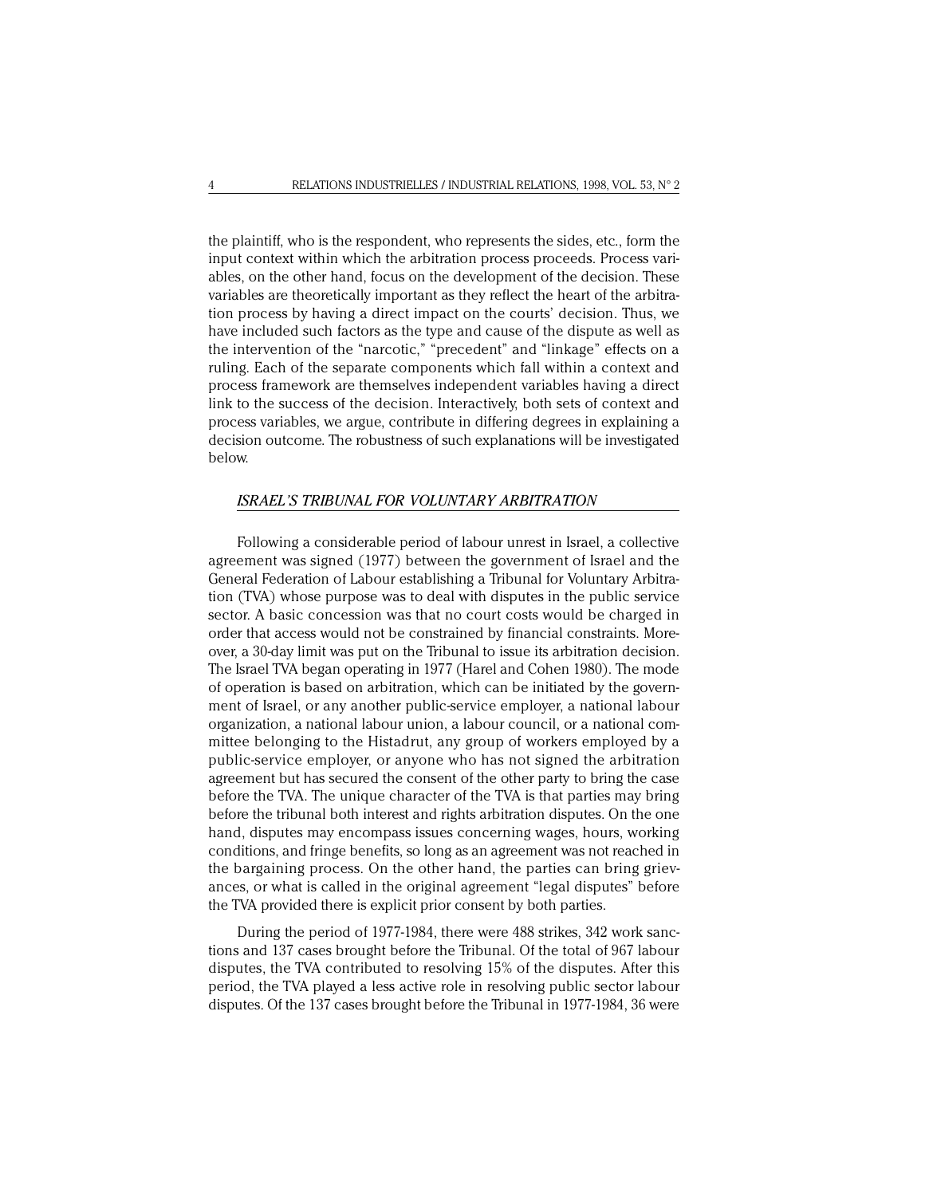the plaintiff, who is the respondent, who represents the sides, etc., form the input context within which the arbitration process proceeds. Process variables, on the other hand, focus on the development of the decision. These variables are theoretically important as they reflect the heart of the arbitration process by having a direct impact on the courts' decision. Thus, we have included such factors as the type and cause of the dispute as well as the intervention of the "narcotic," "precedent" and "linkage" effects on a ruling. Each of the separate components which fall within a context and process framework are themselves independent variables having a direct link to the success of the decision. Interactively, both sets of context and process variables, we argue, contribute in differing degrees in explaining a decision outcome. The robustness of such explanations will be investigated below.

#### *ISRAEL'S TRIBUNAL FOR VOLUNTARY ARBITRATION*

Following a considerable period of labour unrest in Israel, a collective agreement was signed (1977) between the government of Israel and the General Federation of Labour establishing a Tribunal for Voluntary Arbitration (TVA) whose purpose was to deal with disputes in the public service sector. A basic concession was that no court costs would be charged in order that access would not be constrained by financial constraints. Moreover, a 30-day limit was put on the Tribunal to issue its arbitration decision. The Israel TVA began operating in 1977 (Harel and Cohen 1980). The mode of operation is based on arbitration, which can be initiated by the government of Israel, or any another public-service employer, a national labour organization, a national labour union, a labour council, or a national committee belonging to the Histadrut, any group of workers employed by a public-service employer, or anyone who has not signed the arbitration agreement but has secured the consent of the other party to bring the case before the TVA. The unique character of the TVA is that parties may bring before the tribunal both interest and rights arbitration disputes. On the one hand, disputes may encompass issues concerning wages, hours, working conditions, and fringe benefits, so long as an agreement was not reached in the bargaining process. On the other hand, the parties can bring grievances, or what is called in the original agreement "legal disputes" before the TVA provided there is explicit prior consent by both parties.

During the period of 1977-1984, there were 488 strikes, 342 work sanctions and 137 cases brought before the Tribunal. Of the total of 967 labour disputes, the TVA contributed to resolving 15% of the disputes. After this period, the TVA played a less active role in resolving public sector labour disputes. Of the 137 cases brought before the Tribunal in 1977-1984, 36 were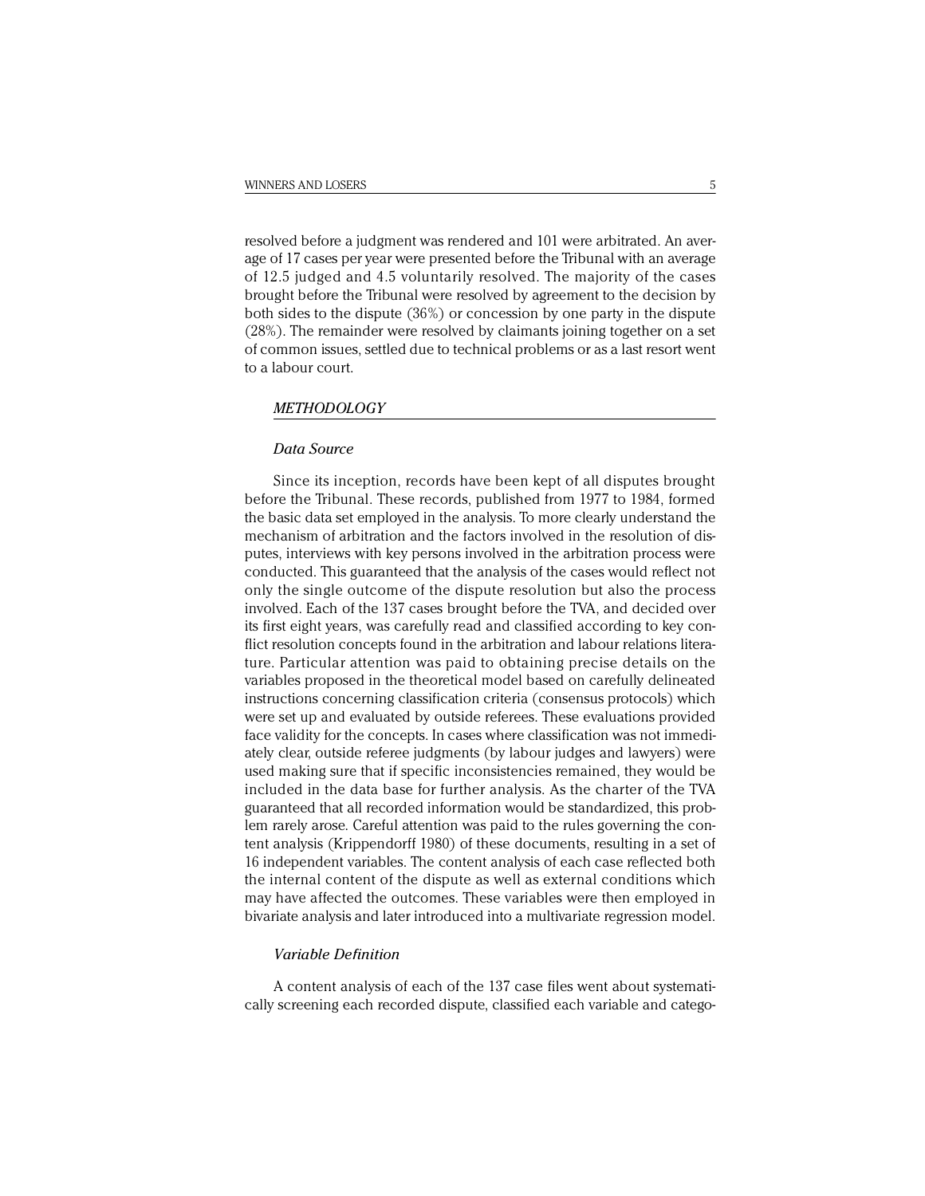resolved before a judgment was rendered and 101 were arbitrated. An average of 17 cases per year were presented before the Tribunal with an average of 12.5 judged and 4.5 voluntarily resolved. The majority of the cases brought before the Tribunal were resolved by agreement to the decision by both sides to the dispute (36%) or concession by one party in the dispute (28%). The remainder were resolved by claimants joining together on a set of common issues, settled due to technical problems or as a last resort went to a labour court.

# *METHODOLOGY*

#### *Data Source*

Since its inception, records have been kept of all disputes brought before the Tribunal. These records, published from 1977 to 1984, formed the basic data set employed in the analysis. To more clearly understand the mechanism of arbitration and the factors involved in the resolution of disputes, interviews with key persons involved in the arbitration process were conducted. This guaranteed that the analysis of the cases would reflect not only the single outcome of the dispute resolution but also the process involved. Each of the 137 cases brought before the TVA, and decided over its first eight years, was carefully read and classified according to key conflict resolution concepts found in the arbitration and labour relations literature. Particular attention was paid to obtaining precise details on the variables proposed in the theoretical model based on carefully delineated instructions concerning classification criteria (consensus protocols) which were set up and evaluated by outside referees. These evaluations provided face validity for the concepts. In cases where classification was not immediately clear, outside referee judgments (by labour judges and lawyers) were used making sure that if specific inconsistencies remained, they would be included in the data base for further analysis. As the charter of the TVA guaranteed that all recorded information would be standardized, this problem rarely arose. Careful attention was paid to the rules governing the content analysis (Krippendorff 1980) of these documents, resulting in a set of 16 independent variables. The content analysis of each case reflected both the internal content of the dispute as well as external conditions which may have affected the outcomes. These variables were then employed in bivariate analysis and later introduced into a multivariate regression model.

# *Variable Definition*

A content analysis of each of the 137 case files went about systematically screening each recorded dispute, classified each variable and catego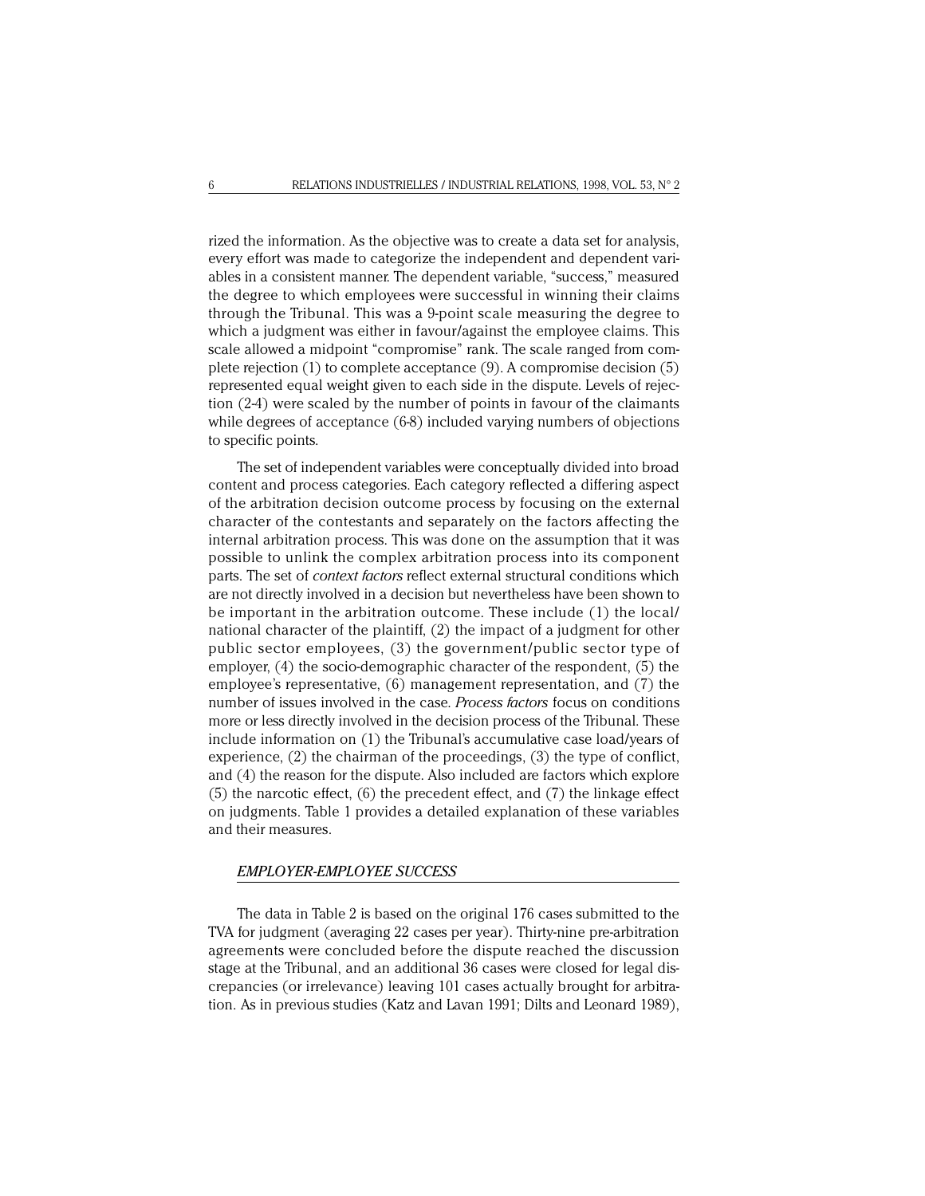rized the information. As the objective was to create a data set for analysis, every effort was made to categorize the independent and dependent variables in a consistent manner. The dependent variable, "success," measured the degree to which employees were successful in winning their claims through the Tribunal. This was a 9-point scale measuring the degree to which a judgment was either in favour/against the employee claims. This scale allowed a midpoint "compromise" rank. The scale ranged from complete rejection (1) to complete acceptance (9). A compromise decision (5) represented equal weight given to each side in the dispute. Levels of rejection (2-4) were scaled by the number of points in favour of the claimants while degrees of acceptance (6-8) included varying numbers of objections to specific points.

The set of independent variables were conceptually divided into broad content and process categories. Each category reflected a differing aspect of the arbitration decision outcome process by focusing on the external character of the contestants and separately on the factors affecting the internal arbitration process. This was done on the assumption that it was possible to unlink the complex arbitration process into its component parts. The set of *context factors* reflect external structural conditions which are not directly involved in a decision but nevertheless have been shown to be important in the arbitration outcome. These include (1) the local/ national character of the plaintiff, (2) the impact of a judgment for other public sector employees, (3) the government/public sector type of employer, (4) the socio-demographic character of the respondent, (5) the employee's representative, (6) management representation, and (7) the number of issues involved in the case. *Process factors* focus on conditions more or less directly involved in the decision process of the Tribunal. These include information on (1) the Tribunal's accumulative case load/years of experience, (2) the chairman of the proceedings, (3) the type of conflict, and (4) the reason for the dispute. Also included are factors which explore (5) the narcotic effect, (6) the precedent effect, and (7) the linkage effect on judgments. Table 1 provides a detailed explanation of these variables and their measures.

#### *EMPLOYER-EMPLOYEE SUCCESS*

The data in Table 2 is based on the original 176 cases submitted to the TVA for judgment (averaging 22 cases per year). Thirty-nine pre-arbitration agreements were concluded before the dispute reached the discussion stage at the Tribunal, and an additional 36 cases were closed for legal discrepancies (or irrelevance) leaving 101 cases actually brought for arbitration. As in previous studies (Katz and Lavan 1991; Dilts and Leonard 1989),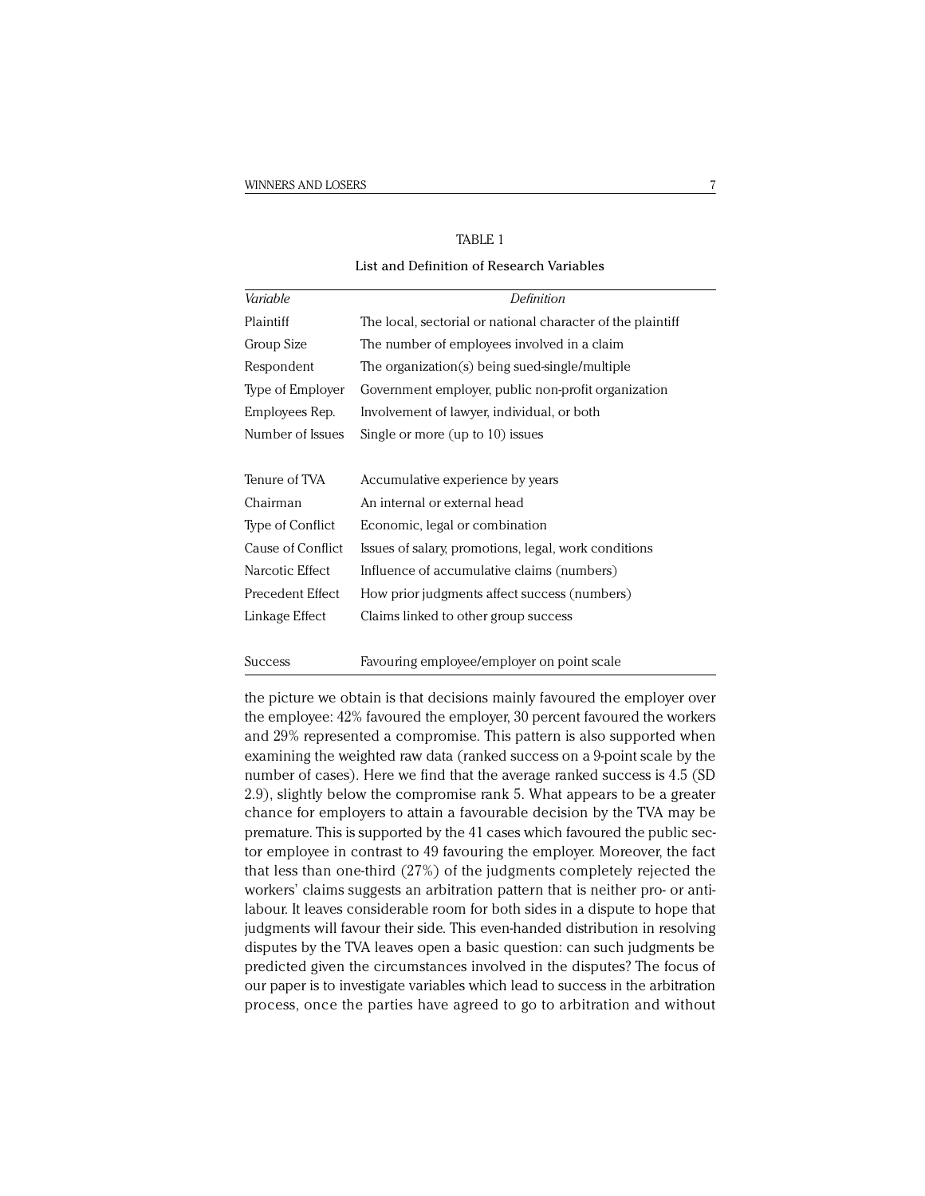# TABLE 1

#### List and Definition of Research Variables

| Variable                | Definition                                                  |
|-------------------------|-------------------------------------------------------------|
| Plaintiff               | The local, sectorial or national character of the plaintiff |
| Group Size              | The number of employees involved in a claim                 |
| Respondent              | The organization(s) being sued-single/multiple              |
| <b>Type of Employer</b> | Government employer, public non-profit organization         |
| Employees Rep.          | Involvement of lawyer, individual, or both                  |
| Number of Issues        | Single or more (up to 10) issues                            |
|                         |                                                             |
| Tenure of TVA           | Accumulative experience by years                            |
| Chairman                | An internal or external head                                |
| Type of Conflict        | Economic, legal or combination                              |
| Cause of Conflict       | Issues of salary, promotions, legal, work conditions        |
| Narcotic Effect         | Influence of accumulative claims (numbers)                  |
| Precedent Effect        | How prior judgments affect success (numbers)                |
| Linkage Effect          | Claims linked to other group success                        |
|                         |                                                             |
| Success                 | Favouring employee/employer on point scale                  |

the picture we obtain is that decisions mainly favoured the employer over the employee: 42% favoured the employer, 30 percent favoured the workers and 29% represented a compromise. This pattern is also supported when examining the weighted raw data (ranked success on a 9-point scale by the number of cases). Here we find that the average ranked success is 4.5 (SD 2.9), slightly below the compromise rank 5. What appears to be a greater chance for employers to attain a favourable decision by the TVA may be premature. This is supported by the 41 cases which favoured the public sector employee in contrast to 49 favouring the employer. Moreover, the fact that less than one-third (27%) of the judgments completely rejected the workers' claims suggests an arbitration pattern that is neither pro- or antilabour. It leaves considerable room for both sides in a dispute to hope that judgments will favour their side. This even-handed distribution in resolving disputes by the TVA leaves open a basic question: can such judgments be predicted given the circumstances involved in the disputes? The focus of our paper is to investigate variables which lead to success in the arbitration process, once the parties have agreed to go to arbitration and without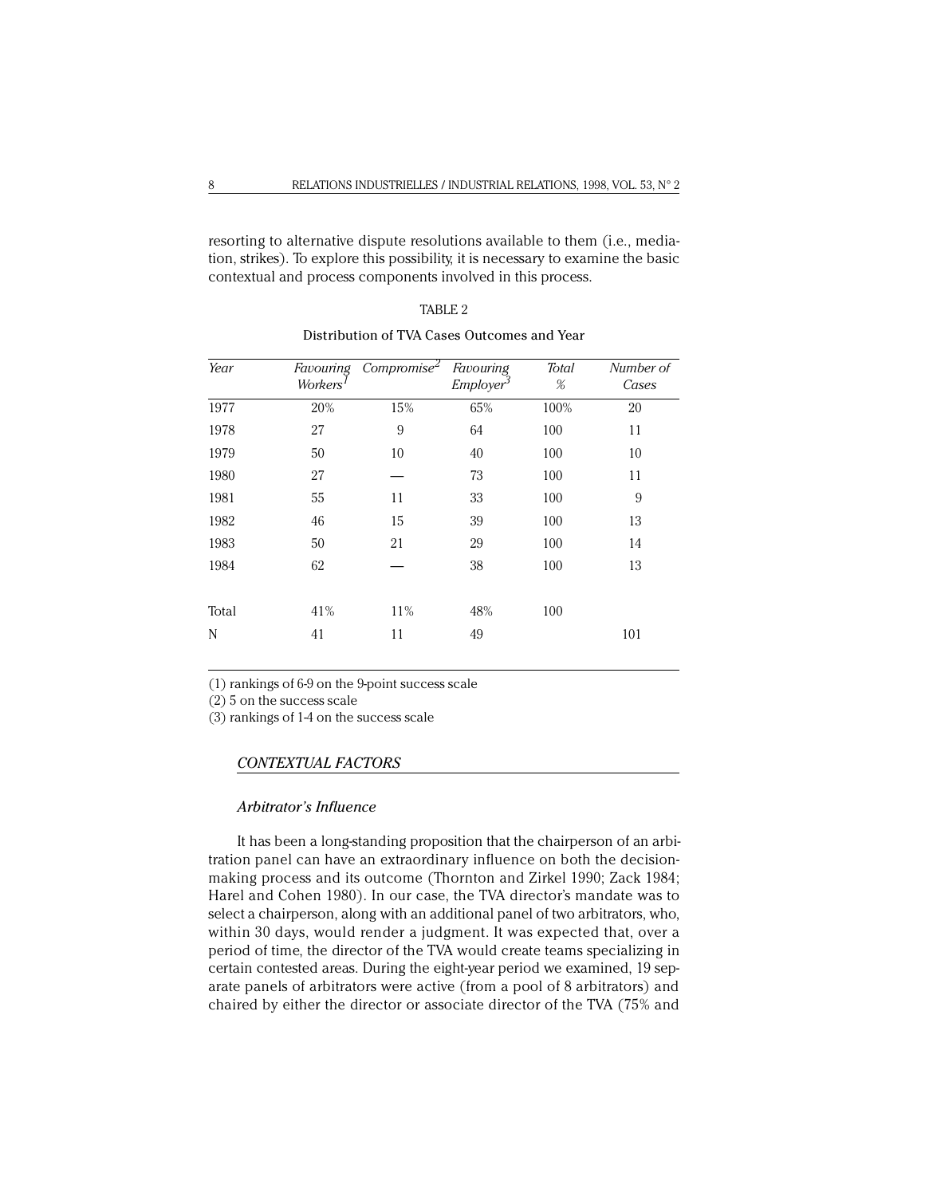resorting to alternative dispute resolutions available to them (i.e., mediation, strikes). To explore this possibility, it is necessary to examine the basic contextual and process components involved in this process.

| Year  | Favouring<br>Workers <sup>1</sup> | Compromise <sup>2</sup> | Favouring<br><i>Employer</i> <sup>3</sup> | <b>Total</b><br>% | Number of<br>Cases |
|-------|-----------------------------------|-------------------------|-------------------------------------------|-------------------|--------------------|
| 1977  | 20%                               | 15%                     | 65%                                       | 100%              | 20                 |
| 1978  | 27                                | 9                       | 64                                        | 100               | 11                 |
| 1979  | 50                                | 10                      | 40                                        | 100               | 10                 |
| 1980  | 27                                |                         | 73                                        | 100               | 11                 |
| 1981  | 55                                | 11                      | 33                                        | 100               | 9                  |
| 1982  | 46                                | 15                      | 39                                        | 100               | 13                 |
| 1983  | 50                                | 21                      | 29                                        | 100               | 14                 |
| 1984  | 62                                |                         | 38                                        | 100               | 13                 |
|       |                                   |                         |                                           |                   |                    |
| Total | 41%                               | 11%                     | 48%                                       | 100               |                    |
| N     | 41                                | 11                      | 49                                        |                   | 101                |

TABLE 2 Distribution of TVA Cases Outcomes and Year

(1) rankings of 6-9 on the 9-point success scale

(2) 5 on the success scale

(3) rankings of 1-4 on the success scale

# *CONTEXTUAL FACTORS*

# *Arbitrator's Influence*

It has been a long-standing proposition that the chairperson of an arbitration panel can have an extraordinary influence on both the decisionmaking process and its outcome (Thornton and Zirkel 1990; Zack 1984; Harel and Cohen 1980). In our case, the TVA director's mandate was to select a chairperson, along with an additional panel of two arbitrators, who, within 30 days, would render a judgment. It was expected that, over a period of time, the director of the TVA would create teams specializing in certain contested areas. During the eight-year period we examined, 19 separate panels of arbitrators were active (from a pool of 8 arbitrators) and chaired by either the director or associate director of the TVA (75% and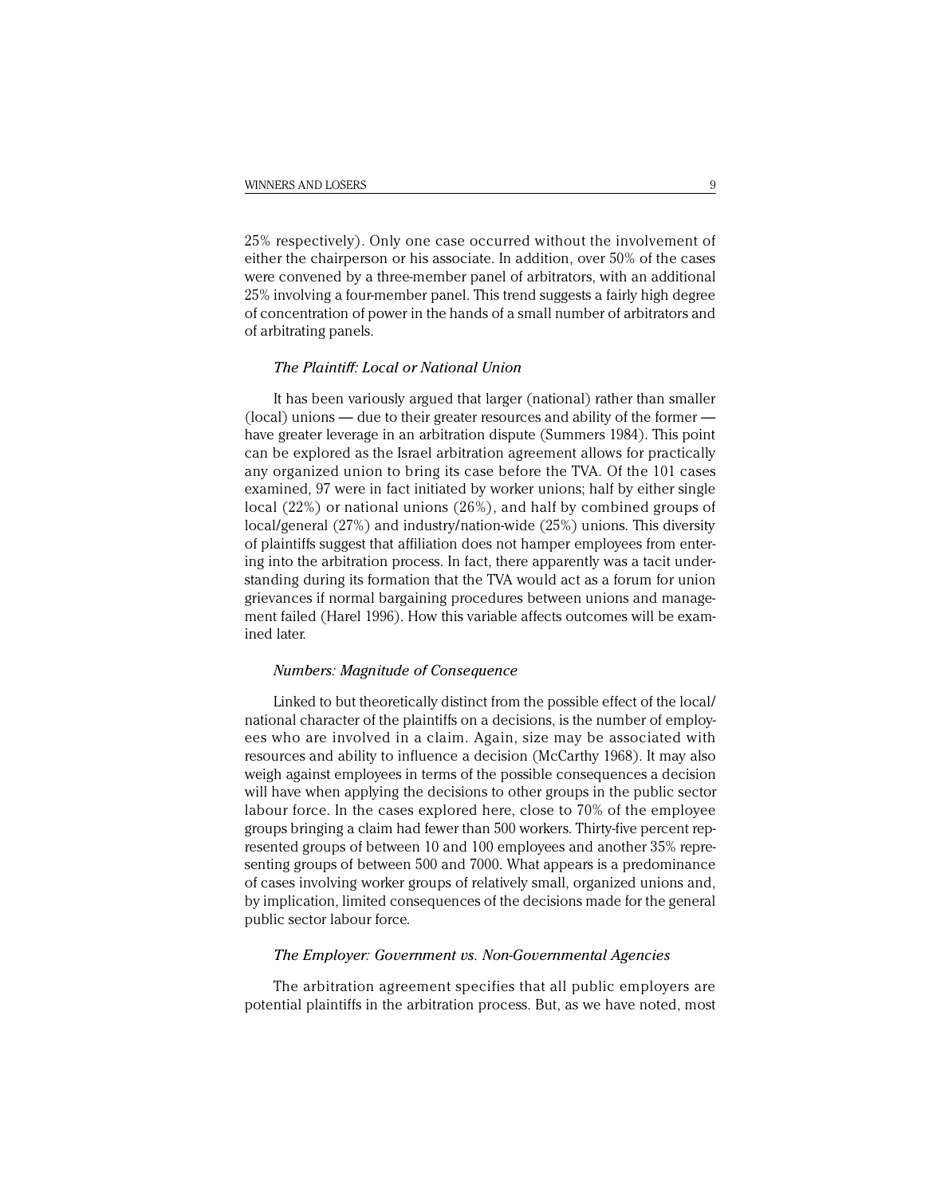25% respectively). Only one case occurred without the involvement of either the chairperson or his associate. In addition, over 50% of the cases were convened by a three-member panel of arbitrators, with an additional 25% involving a four-member panel. This trend suggests a fairly high degree of concentration of power in the hands of a small number of arbitrators and of arbitrating panels.

# *The Plaintiff: Local or National Union*

It has been variously argued that larger (national) rather than smaller (local) unions — due to their greater resources and ability of the former have greater leverage in an arbitration dispute (Summers 1984). This point can be explored as the Israel arbitration agreement allows for practically any organized union to bring its case before the TVA. Of the 101 cases examined, 97 were in fact initiated by worker unions; half by either single local (22%) or national unions (26%), and half by combined groups of local/general (27%) and industry/nation-wide (25%) unions. This diversity of plaintiffs suggest that affiliation does not hamper employees from entering into the arbitration process. In fact, there apparently was a tacit understanding during its formation that the TVA would act as a forum for union grievances if normal bargaining procedures between unions and management failed (Harel 1996). How this variable affects outcomes will be examined later.

# *Numbers: Magnitude of Consequence*

Linked to but theoretically distinct from the possible effect of the local/ national character of the plaintiffs on a decisions, is the number of employees who are involved in a claim. Again, size may be associated with resources and ability to influence a decision (McCarthy 1968). It may also weigh against employees in terms of the possible consequences a decision will have when applying the decisions to other groups in the public sector labour force. In the cases explored here, close to 70% of the employee groups bringing a claim had fewer than 500 workers. Thirty-five percent represented groups of between 10 and 100 employees and another 35% representing groups of between 500 and 7000. What appears is a predominance of cases involving worker groups of relatively small, organized unions and, by implication, limited consequences of the decisions made for the general public sector labour force.

## *The Employer: Government vs. Non-Governmental Agencies*

The arbitration agreement specifies that all public employers are potential plaintiffs in the arbitration process. But, as we have noted, most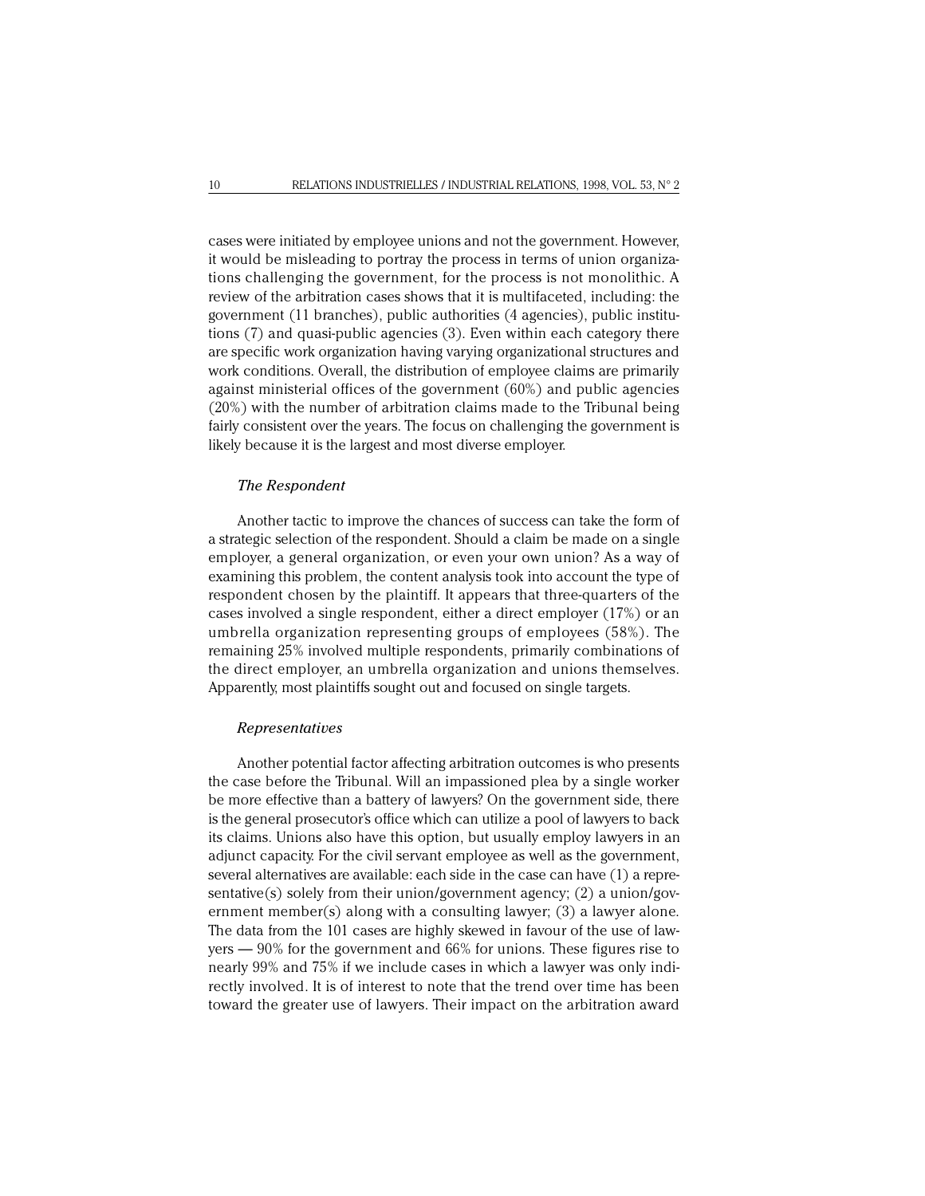cases were initiated by employee unions and not the government. However, it would be misleading to portray the process in terms of union organizations challenging the government, for the process is not monolithic. A review of the arbitration cases shows that it is multifaceted, including: the government (11 branches), public authorities (4 agencies), public institutions (7) and quasi-public agencies (3). Even within each category there are specific work organization having varying organizational structures and work conditions. Overall, the distribution of employee claims are primarily against ministerial offices of the government (60%) and public agencies (20%) with the number of arbitration claims made to the Tribunal being fairly consistent over the years. The focus on challenging the government is likely because it is the largest and most diverse employer.

### *The Respondent*

Another tactic to improve the chances of success can take the form of a strategic selection of the respondent. Should a claim be made on a single employer, a general organization, or even your own union? As a way of examining this problem, the content analysis took into account the type of respondent chosen by the plaintiff. It appears that three-quarters of the cases involved a single respondent, either a direct employer (17%) or an umbrella organization representing groups of employees (58%). The remaining 25% involved multiple respondents, primarily combinations of the direct employer, an umbrella organization and unions themselves. Apparently, most plaintiffs sought out and focused on single targets.

### *Representatives*

Another potential factor affecting arbitration outcomes is who presents the case before the Tribunal. Will an impassioned plea by a single worker be more effective than a battery of lawyers? On the government side, there is the general prosecutor's office which can utilize a pool of lawyers to back its claims. Unions also have this option, but usually employ lawyers in an adjunct capacity. For the civil servant employee as well as the government, several alternatives are available: each side in the case can have (1) a representative(s) solely from their union/government agency; (2) a union/government member(s) along with a consulting lawyer; (3) a lawyer alone. The data from the 101 cases are highly skewed in favour of the use of lawyers — 90% for the government and 66% for unions. These figures rise to nearly 99% and 75% if we include cases in which a lawyer was only indirectly involved. It is of interest to note that the trend over time has been toward the greater use of lawyers. Their impact on the arbitration award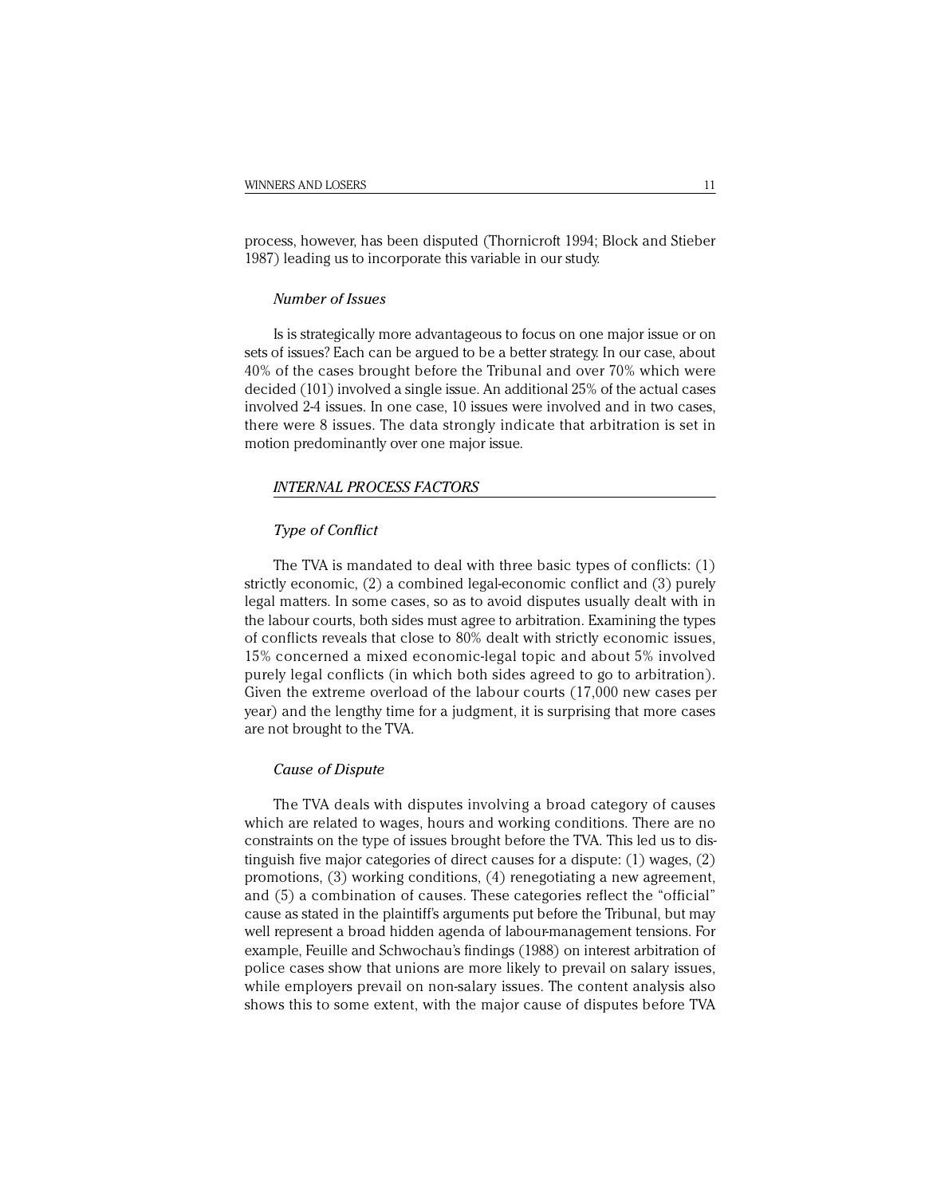process, however, has been disputed (Thornicroft 1994; Block and Stieber 1987) leading us to incorporate this variable in our study.

# *Number of Issues*

Is is strategically more advantageous to focus on one major issue or on sets of issues? Each can be argued to be a better strategy. In our case, about 40% of the cases brought before the Tribunal and over 70% which were decided (101) involved a single issue. An additional 25% of the actual cases involved 2-4 issues. In one case, 10 issues were involved and in two cases, there were 8 issues. The data strongly indicate that arbitration is set in motion predominantly over one major issue.

#### *INTERNAL PROCESS FACTORS*

# *Type of Conflict*

The TVA is mandated to deal with three basic types of conflicts: (1) strictly economic, (2) a combined legal-economic conflict and (3) purely legal matters. In some cases, so as to avoid disputes usually dealt with in the labour courts, both sides must agree to arbitration. Examining the types of conflicts reveals that close to 80% dealt with strictly economic issues, 15% concerned a mixed economic-legal topic and about 5% involved purely legal conflicts (in which both sides agreed to go to arbitration). Given the extreme overload of the labour courts (17,000 new cases per year) and the lengthy time for a judgment, it is surprising that more cases are not brought to the TVA.

## *Cause of Dispute*

The TVA deals with disputes involving a broad category of causes which are related to wages, hours and working conditions. There are no constraints on the type of issues brought before the TVA. This led us to distinguish five major categories of direct causes for a dispute: (1) wages, (2) promotions, (3) working conditions, (4) renegotiating a new agreement, and (5) a combination of causes. These categories reflect the "official" cause as stated in the plaintiff's arguments put before the Tribunal, but may well represent a broad hidden agenda of labour-management tensions. For example, Feuille and Schwochau's findings (1988) on interest arbitration of police cases show that unions are more likely to prevail on salary issues, while employers prevail on non-salary issues. The content analysis also shows this to some extent, with the major cause of disputes before TVA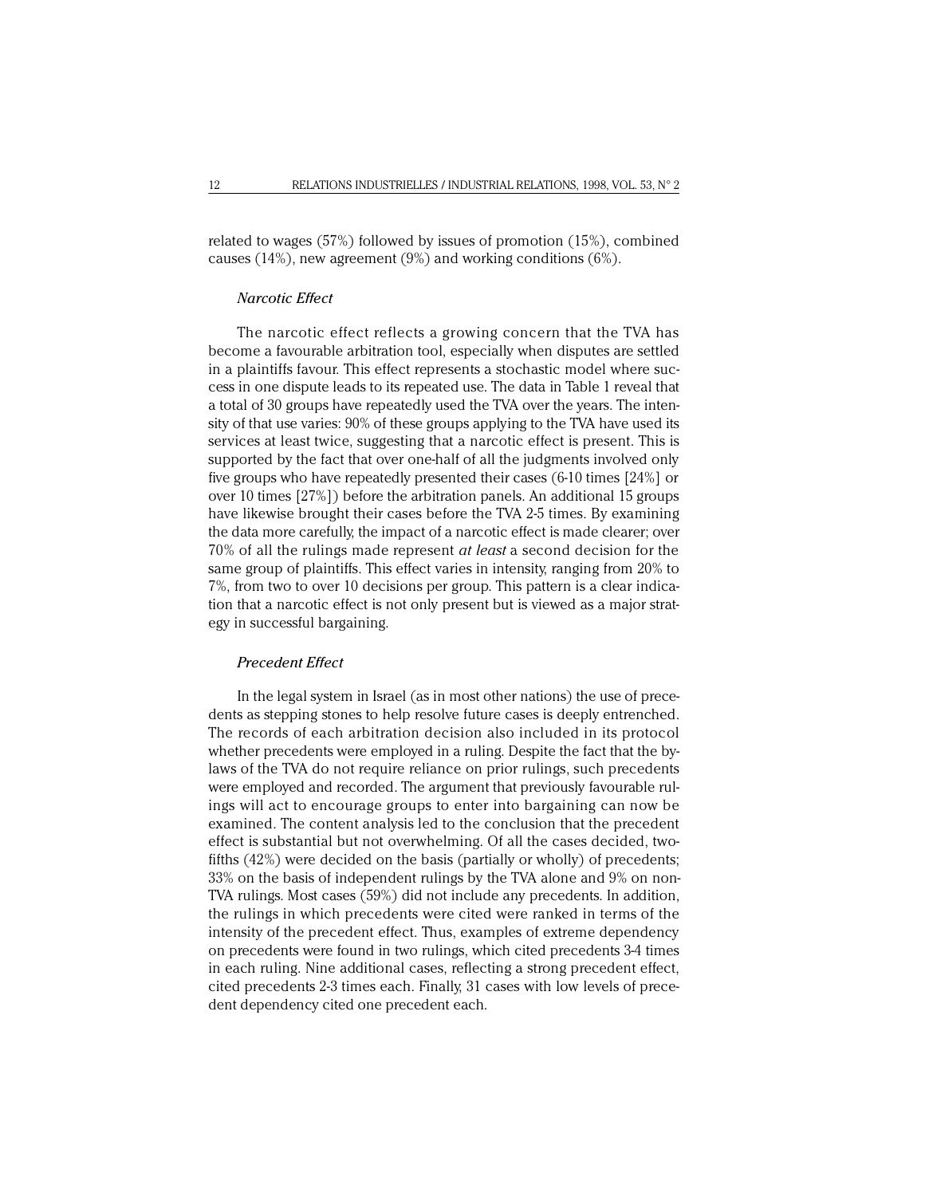related to wages (57%) followed by issues of promotion (15%), combined causes (14%), new agreement (9%) and working conditions (6%).

#### *Narcotic Effect*

The narcotic effect reflects a growing concern that the TVA has become a favourable arbitration tool, especially when disputes are settled in a plaintiffs favour. This effect represents a stochastic model where success in one dispute leads to its repeated use. The data in Table 1 reveal that a total of 30 groups have repeatedly used the TVA over the years. The intensity of that use varies: 90% of these groups applying to the TVA have used its services at least twice, suggesting that a narcotic effect is present. This is supported by the fact that over one-half of all the judgments involved only five groups who have repeatedly presented their cases (6-10 times [24%] or over 10 times [27%]) before the arbitration panels. An additional 15 groups have likewise brought their cases before the TVA 2-5 times. By examining the data more carefully, the impact of a narcotic effect is made clearer; over 70% of all the rulings made represent *at least* a second decision for the same group of plaintiffs. This effect varies in intensity, ranging from 20% to 7%, from two to over 10 decisions per group. This pattern is a clear indication that a narcotic effect is not only present but is viewed as a major strategy in successful bargaining.

## *Precedent Effect*

In the legal system in Israel (as in most other nations) the use of precedents as stepping stones to help resolve future cases is deeply entrenched. The records of each arbitration decision also included in its protocol whether precedents were employed in a ruling. Despite the fact that the bylaws of the TVA do not require reliance on prior rulings, such precedents were employed and recorded. The argument that previously favourable rulings will act to encourage groups to enter into bargaining can now be examined. The content analysis led to the conclusion that the precedent effect is substantial but not overwhelming. Of all the cases decided, twofifths (42%) were decided on the basis (partially or wholly) of precedents; 33% on the basis of independent rulings by the TVA alone and 9% on non-TVA rulings. Most cases (59%) did not include any precedents. In addition, the rulings in which precedents were cited were ranked in terms of the intensity of the precedent effect. Thus, examples of extreme dependency on precedents were found in two rulings, which cited precedents 3-4 times in each ruling. Nine additional cases, reflecting a strong precedent effect, cited precedents 2-3 times each. Finally, 31 cases with low levels of precedent dependency cited one precedent each.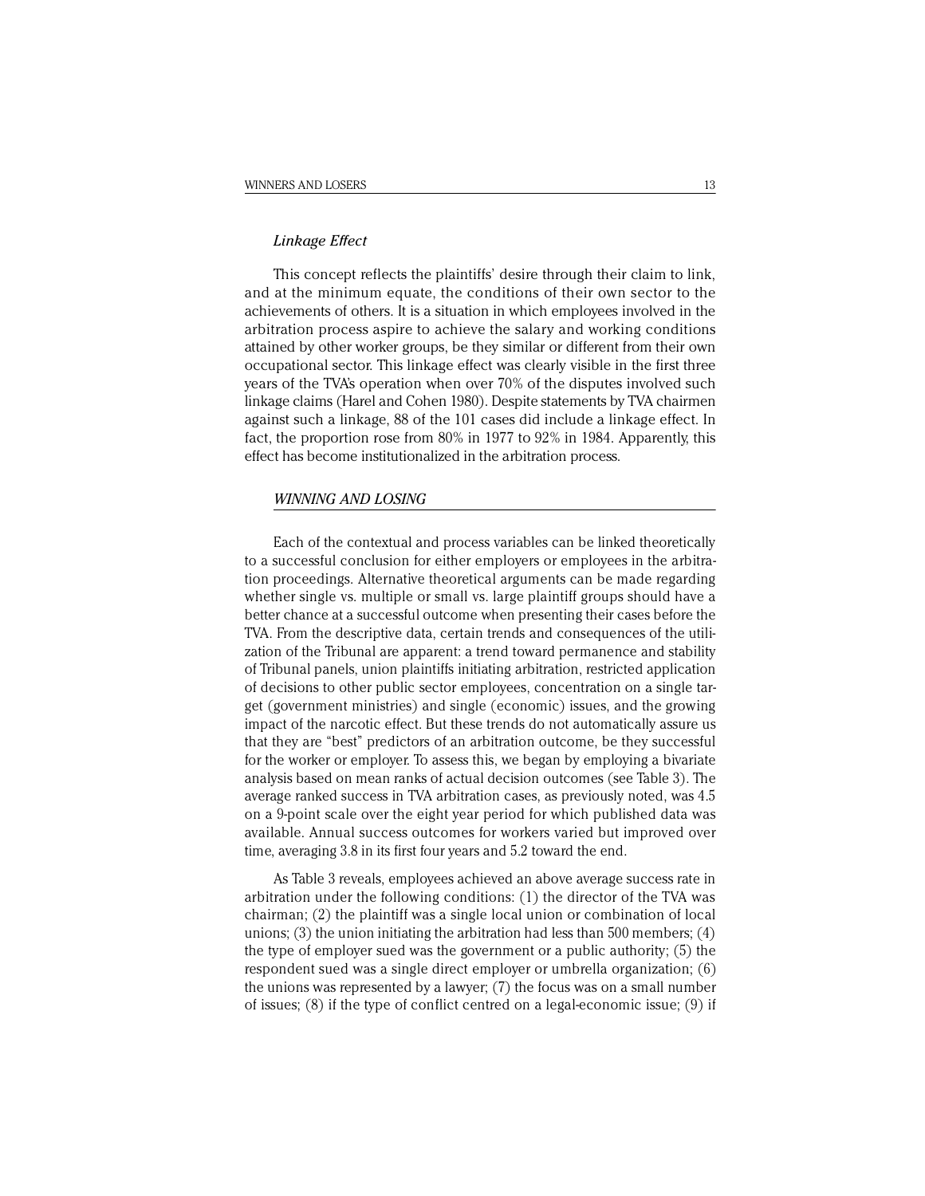## *Linkage Effect*

This concept reflects the plaintiffs' desire through their claim to link, and at the minimum equate, the conditions of their own sector to the achievements of others. It is a situation in which employees involved in the arbitration process aspire to achieve the salary and working conditions attained by other worker groups, be they similar or different from their own occupational sector. This linkage effect was clearly visible in the first three years of the TVA's operation when over 70% of the disputes involved such linkage claims (Harel and Cohen 1980). Despite statements by TVA chairmen against such a linkage, 88 of the 101 cases did include a linkage effect. In fact, the proportion rose from 80% in 1977 to 92% in 1984. Apparently, this effect has become institutionalized in the arbitration process.

#### *WINNING AND LOSING*

Each of the contextual and process variables can be linked theoretically to a successful conclusion for either employers or employees in the arbitration proceedings. Alternative theoretical arguments can be made regarding whether single vs. multiple or small vs. large plaintiff groups should have a better chance at a successful outcome when presenting their cases before the TVA. From the descriptive data, certain trends and consequences of the utilization of the Tribunal are apparent: a trend toward permanence and stability of Tribunal panels, union plaintiffs initiating arbitration, restricted application of decisions to other public sector employees, concentration on a single target (government ministries) and single (economic) issues, and the growing impact of the narcotic effect. But these trends do not automatically assure us that they are "best" predictors of an arbitration outcome, be they successful for the worker or employer. To assess this, we began by employing a bivariate analysis based on mean ranks of actual decision outcomes (see Table 3). The average ranked success in TVA arbitration cases, as previously noted, was 4.5 on a 9-point scale over the eight year period for which published data was available. Annual success outcomes for workers varied but improved over time, averaging 3.8 in its first four years and 5.2 toward the end.

As Table 3 reveals, employees achieved an above average success rate in arbitration under the following conditions: (1) the director of the TVA was chairman; (2) the plaintiff was a single local union or combination of local unions; (3) the union initiating the arbitration had less than 500 members; (4) the type of employer sued was the government or a public authority; (5) the respondent sued was a single direct employer or umbrella organization; (6) the unions was represented by a lawyer; (7) the focus was on a small number of issues; (8) if the type of conflict centred on a legal-economic issue; (9) if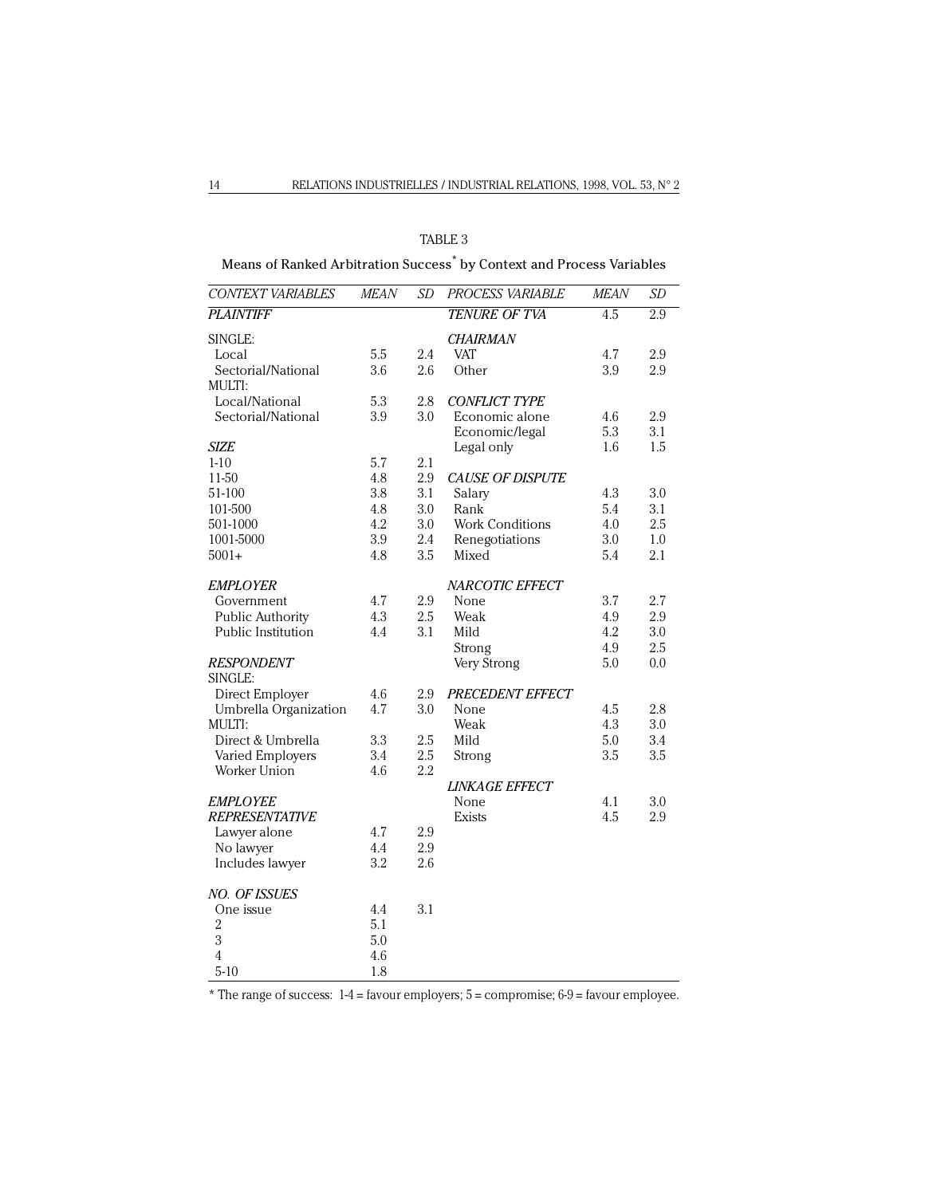# TABLE 3

# Means of Ranked Arbitration Success\* by Context and Process Variables

| CONTEXT VARIABLES       | <b>MEAN</b> | $\overline{SD}$ | PROCESS VARIABLE        | <b>MEAN</b> | SD  |
|-------------------------|-------------|-----------------|-------------------------|-------------|-----|
| <b>PLAINTIFF</b>        |             |                 | TENURE OF TVA           | 4.5         | 2.9 |
| SINGLE:                 |             |                 | CHAIRMAN                |             |     |
| Local                   | 5.5         | 2.4             | <b>VAT</b>              | 4.7         | 2.9 |
| Sectorial/National      | 3.6         | 2.6             | Other                   | 3.9         | 2.9 |
| <b>MULTI:</b>           |             |                 |                         |             |     |
| Local/National          | 5.3         | 2.8             | <b>CONFLICT TYPE</b>    |             |     |
| Sectorial/National      | 3.9         | 3.0             | Economic alone          | 4.6         | 2.9 |
|                         |             |                 | Economic/legal          | 5.3         | 3.1 |
| SIZE                    |             |                 | Legal only              | 1.6         | 1.5 |
| $1-10$                  | 5.7         | 2.1             |                         |             |     |
| 11-50                   | 4.8         | 2.9             | <b>CAUSE OF DISPUTE</b> |             |     |
| 51-100                  | 3.8         | 3.1             | Salary                  | 4.3         | 3.0 |
| 101-500                 | 4.8         | 3.0             | Rank                    | 5.4         | 3.1 |
| 501-1000                | 4.2         | 3.0             | <b>Work Conditions</b>  | 4.0         | 2.5 |
| 1001-5000               | 3.9         | 2.4             | Renegotiations          | 3.0         | 1.0 |
| $5001+$                 | 4.8         | 3.5             | Mixed                   | 5.4         | 2.1 |
| <b>EMPLOYER</b>         |             |                 | NARCOTIC EFFECT         |             |     |
| Government              | 4.7         | 2.9             | None                    | 3.7         | 2.7 |
| <b>Public Authority</b> | 4.3         | 2.5             | Weak                    | 4.9         | 2.9 |
| Public Institution      | 4.4         | 3.1             | Mild                    | 4.2         | 3.0 |
|                         |             |                 | Strong                  | 4.9         | 2.5 |
| <b>RESPONDENT</b>       |             |                 | Very Strong             | 5.0         | 0.0 |
| SINGLE:                 |             |                 |                         |             |     |
| Direct Employer         | 4.6         | 2.9             | PRECEDENT EFFECT        |             |     |
| Umbrella Organization   | 4.7         | 3.0             | None                    | 4.5         | 2.8 |
| MULTI:                  |             |                 | Weak                    | 4.3         | 3.0 |
| Direct & Umbrella       | 3.3         | 2.5             | Mild                    | 5.0         | 3.4 |
| Varied Employers        | 3.4         | $2.5\,$         | Strong                  | 3.5         | 3.5 |
| Worker Union            | 4.6         | 2.2             |                         |             |     |
|                         |             |                 | LINKAGE EFFECT          |             |     |
| <b>EMPLOYEE</b>         |             |                 | None                    | 4.1         | 3.0 |
| REPRESENTATIVE          |             |                 | Exists                  | 4.5         | 2.9 |
| Lawyer alone            | 4.7         | 2.9             |                         |             |     |
| No lawyer               | 4.4         | 2.9             |                         |             |     |
| Includes lawyer         | 3.2         | 2.6             |                         |             |     |
|                         |             |                 |                         |             |     |
| <b>NO. OF ISSUES</b>    |             |                 |                         |             |     |
| One issue               | 4.4         | 3.1             |                         |             |     |
| $\overline{2}$          | 5.1         |                 |                         |             |     |
| 3                       | 5.0         |                 |                         |             |     |
| 4                       | 4.6         |                 |                         |             |     |
| $5 - 10$                | 1.8         |                 |                         |             |     |

 $*$  The range of success:  $1-4 =$  favour employers;  $5 =$  compromise;  $6-9 =$  favour employee.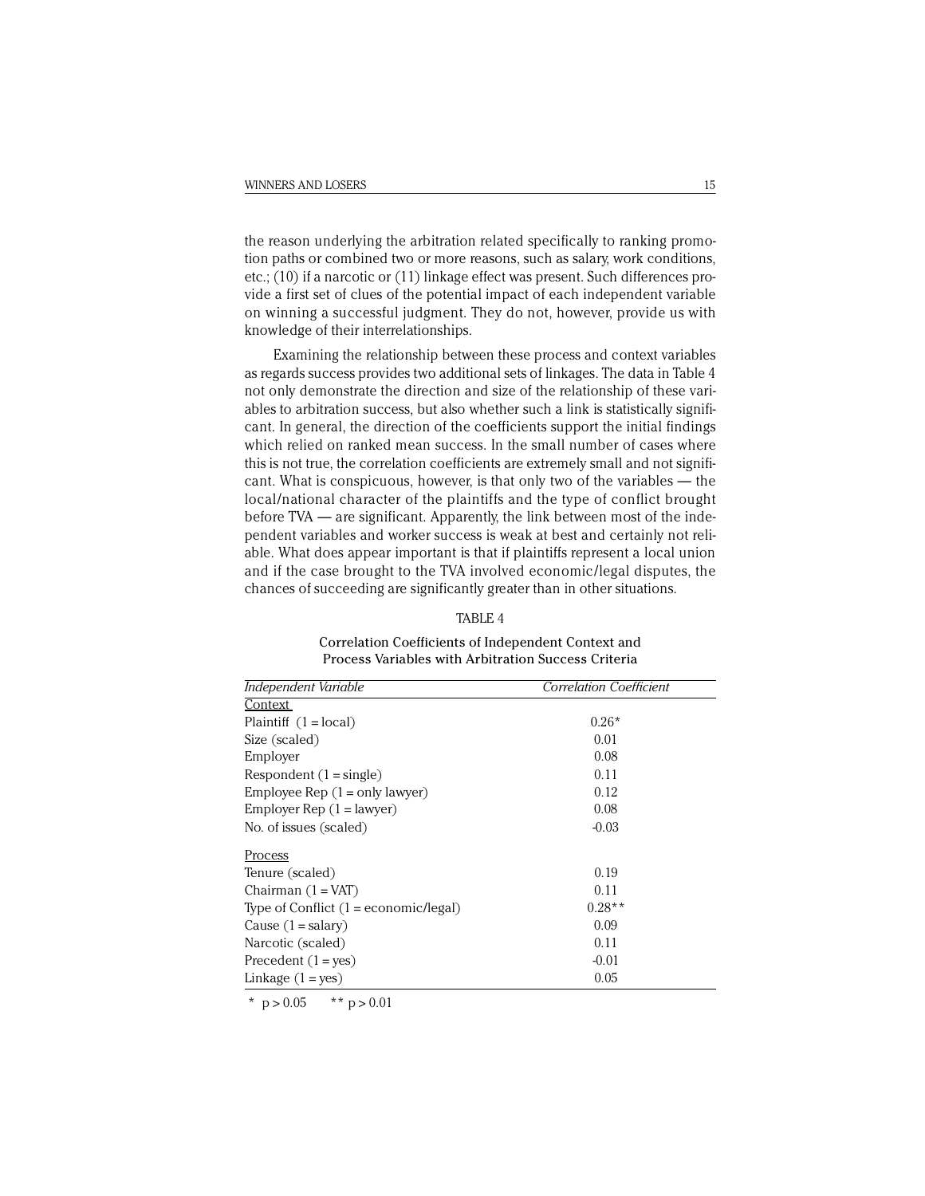the reason underlying the arbitration related specifically to ranking promotion paths or combined two or more reasons, such as salary, work conditions, etc.; (10) if a narcotic or (11) linkage effect was present. Such differences provide a first set of clues of the potential impact of each independent variable on winning a successful judgment. They do not, however, provide us with knowledge of their interrelationships.

Examining the relationship between these process and context variables as regards success provides two additional sets of linkages. The data in Table 4 not only demonstrate the direction and size of the relationship of these variables to arbitration success, but also whether such a link is statistically significant. In general, the direction of the coefficients support the initial findings which relied on ranked mean success. In the small number of cases where this is not true, the correlation coefficients are extremely small and not significant. What is conspicuous, however, is that only two of the variables — the local/national character of the plaintiffs and the type of conflict brought before TVA — are significant. Apparently, the link between most of the independent variables and worker success is weak at best and certainly not reliable. What does appear important is that if plaintiffs represent a local union and if the case brought to the TVA involved economic/legal disputes, the chances of succeeding are significantly greater than in other situations.

#### TABLE 4

### Correlation Coefficients of Independent Context and Process Variables with Arbitration Success Criteria

| Independent Variable                      | Correlation Coefficient |
|-------------------------------------------|-------------------------|
| Context                                   |                         |
| Plaintiff $(1 = local)$                   | $0.26*$                 |
| Size (scaled)                             | 0.01                    |
| Employer                                  | 0.08                    |
| Respondent $(1 = single)$                 | 0.11                    |
| Employee Rep $(1 = \text{only lawyer})$   | 0.12                    |
| Employer Rep $(1 = \text{lawyer})$        | 0.08                    |
| No. of issues (scaled)                    | $-0.03$                 |
| Process                                   |                         |
| Tenure (scaled)                           | 0.19                    |
| Chairman $(1 = VAT)$                      | 0.11                    |
| Type of Conflict $(1 = 1$ economic/legal) | $0.28**$                |
| Cause $(1 = \text{salary})$               | 0.09                    |
| Narcotic (scaled)                         | 0.11                    |
| Precedent $(1 = yes)$                     | $-0.01$                 |
| Linkage $(1 = \text{ves})$                | 0.05                    |

\*  $p > 0.05$  \*\*  $p > 0.01$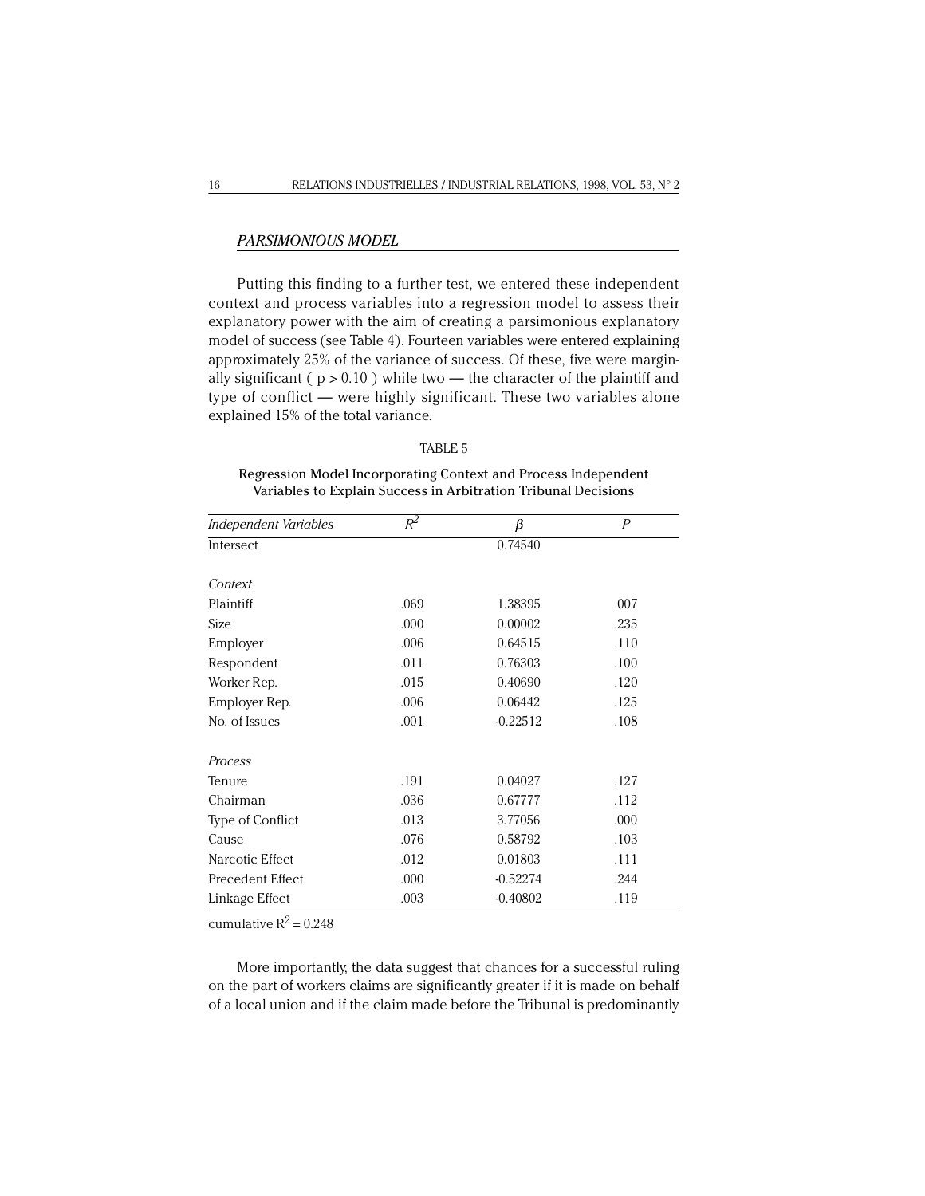# *PARSIMONIOUS MODEL*

Putting this finding to a further test, we entered these independent context and process variables into a regression model to assess their explanatory power with the aim of creating a parsimonious explanatory model of success (see Table 4). Fourteen variables were entered explaining approximately 25% of the variance of success. Of these, five were marginally significant ( $p > 0.10$ ) while two — the character of the plaintiff and type of conflict — were highly significant. These two variables alone explained 15% of the total variance.

# TABLE 5

Regression Model Incorporating Context and Process Independent Variables to Explain Success in Arbitration Tribunal Decisions

| Independent Variables | $R^2$ | β          | P    |
|-----------------------|-------|------------|------|
| Intersect             |       | 0.74540    |      |
|                       |       |            |      |
| Context               |       |            |      |
| Plaintiff             | .069  | 1.38395    | .007 |
| Size                  | .000  | 0.00002    | .235 |
| Employer              | .006  | 0.64515    | .110 |
| Respondent            | .011  | 0.76303    | .100 |
| Worker Rep.           | .015  | 0.40690    | .120 |
| Employer Rep.         | .006  | 0.06442    | .125 |
| No. of Issues         | .001  | $-0.22512$ | .108 |
|                       |       |            |      |
| Process               |       |            |      |
| Tenure                | .191  | 0.04027    | .127 |
| Chairman              | .036  | 0.67777    | .112 |
| Type of Conflict      | .013  | 3.77056    | .000 |
| Cause                 | .076  | 0.58792    | .103 |
| Narcotic Effect       | .012  | 0.01803    | .111 |
| Precedent Effect      | .000  | $-0.52274$ | .244 |
| Linkage Effect        | .003  | $-0.40802$ | .119 |

cumulative  $R^2 = 0.248$ 

More importantly, the data suggest that chances for a successful ruling on the part of workers claims are significantly greater if it is made on behalf of a local union and if the claim made before the Tribunal is predominantly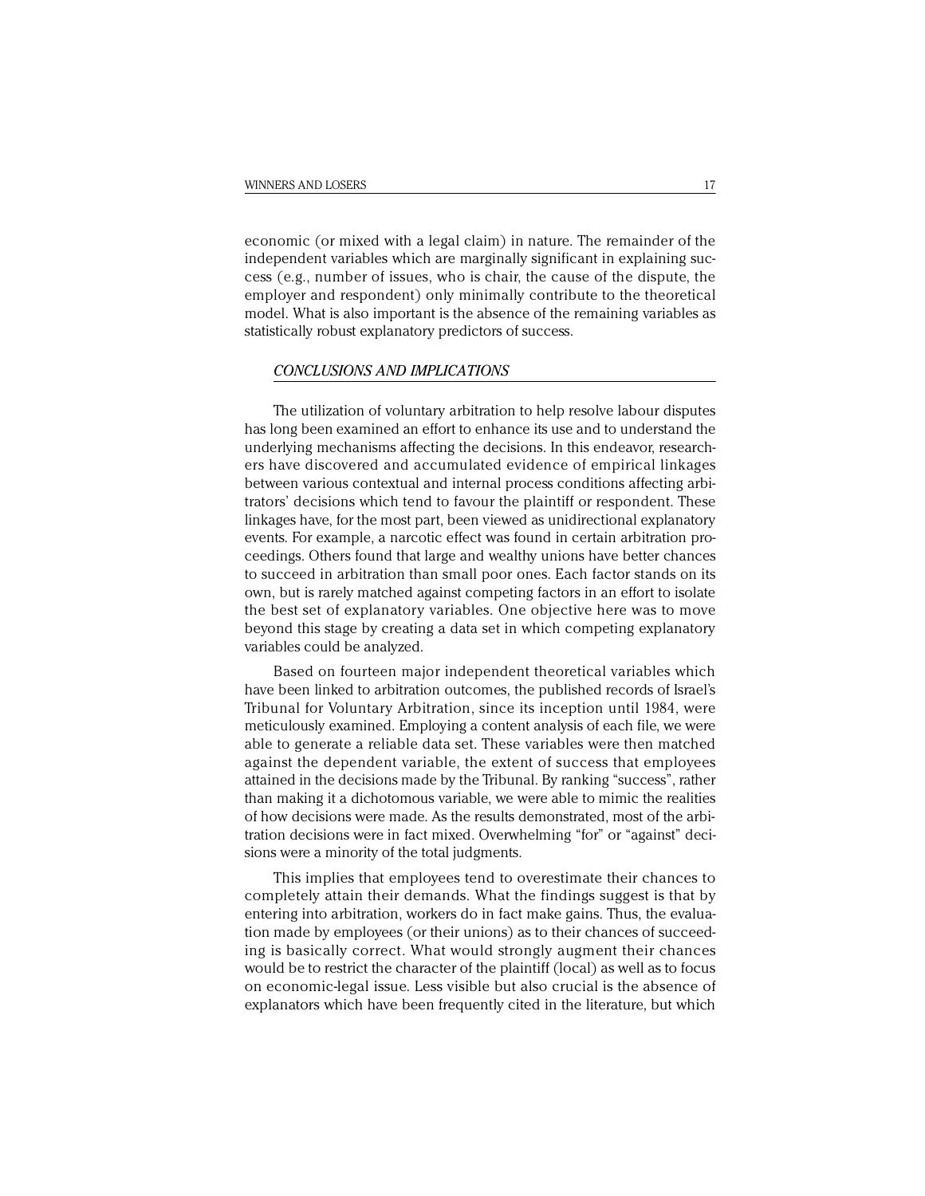economic (or mixed with a legal claim) in nature. The remainder of the independent variables which are marginally significant in explaining success (e.g., number of issues, who is chair, the cause of the dispute, the employer and respondent) only minimally contribute to the theoretical model. What is also important is the absence of the remaining variables as statistically robust explanatory predictors of success.

#### *CONCLUSIONS AND IMPLICATIONS*

The utilization of voluntary arbitration to help resolve labour disputes has long been examined an effort to enhance its use and to understand the underlying mechanisms affecting the decisions. In this endeavor, researchers have discovered and accumulated evidence of empirical linkages between various contextual and internal process conditions affecting arbitrators' decisions which tend to favour the plaintiff or respondent. These linkages have, for the most part, been viewed as unidirectional explanatory events. For example, a narcotic effect was found in certain arbitration proceedings. Others found that large and wealthy unions have better chances to succeed in arbitration than small poor ones. Each factor stands on its own, but is rarely matched against competing factors in an effort to isolate the best set of explanatory variables. One objective here was to move beyond this stage by creating a data set in which competing explanatory variables could be analyzed.

Based on fourteen major independent theoretical variables which have been linked to arbitration outcomes, the published records of Israel's Tribunal for Voluntary Arbitration, since its inception until 1984, were meticulously examined. Employing a content analysis of each file, we were able to generate a reliable data set. These variables were then matched against the dependent variable, the extent of success that employees attained in the decisions made by the Tribunal. By ranking "success", rather than making it a dichotomous variable, we were able to mimic the realities of how decisions were made. As the results demonstrated, most of the arbitration decisions were in fact mixed. Overwhelming "for" or "against" decisions were a minority of the total judgments.

This implies that employees tend to overestimate their chances to completely attain their demands. What the findings suggest is that by entering into arbitration, workers do in fact make gains. Thus, the evaluation made by employees (or their unions) as to their chances of succeeding is basically correct. What would strongly augment their chances would be to restrict the character of the plaintiff (local) as well as to focus on economic-legal issue. Less visible but also crucial is the absence of explanators which have been frequently cited in the literature, but which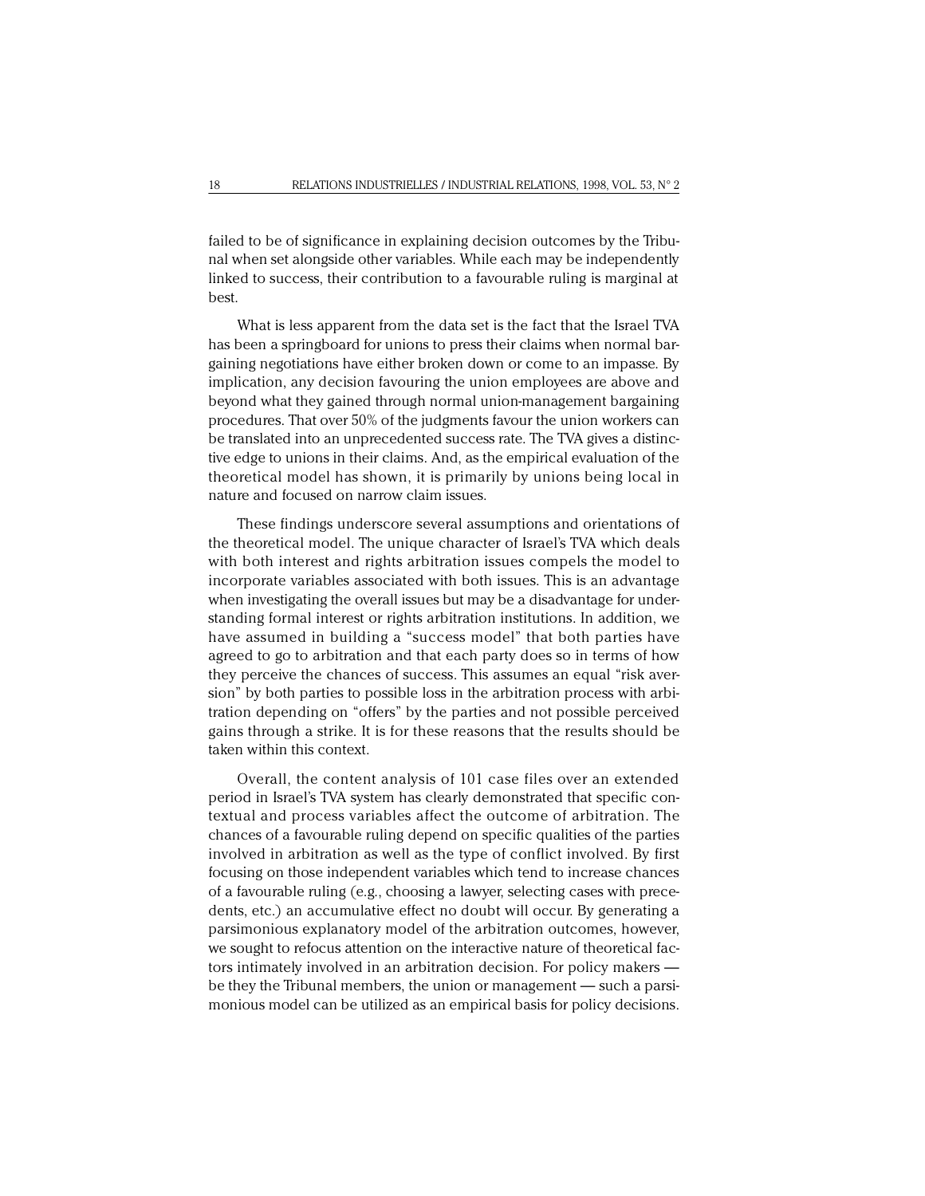failed to be of significance in explaining decision outcomes by the Tribunal when set alongside other variables. While each may be independently linked to success, their contribution to a favourable ruling is marginal at best.

What is less apparent from the data set is the fact that the Israel TVA has been a springboard for unions to press their claims when normal bargaining negotiations have either broken down or come to an impasse. By implication, any decision favouring the union employees are above and beyond what they gained through normal union-management bargaining procedures. That over 50% of the judgments favour the union workers can be translated into an unprecedented success rate. The TVA gives a distinctive edge to unions in their claims. And, as the empirical evaluation of the theoretical model has shown, it is primarily by unions being local in nature and focused on narrow claim issues.

These findings underscore several assumptions and orientations of the theoretical model. The unique character of Israel's TVA which deals with both interest and rights arbitration issues compels the model to incorporate variables associated with both issues. This is an advantage when investigating the overall issues but may be a disadvantage for understanding formal interest or rights arbitration institutions. In addition, we have assumed in building a "success model" that both parties have agreed to go to arbitration and that each party does so in terms of how they perceive the chances of success. This assumes an equal "risk aversion" by both parties to possible loss in the arbitration process with arbitration depending on "offers" by the parties and not possible perceived gains through a strike. It is for these reasons that the results should be taken within this context.

Overall, the content analysis of 101 case files over an extended period in Israel's TVA system has clearly demonstrated that specific contextual and process variables affect the outcome of arbitration. The chances of a favourable ruling depend on specific qualities of the parties involved in arbitration as well as the type of conflict involved. By first focusing on those independent variables which tend to increase chances of a favourable ruling (e.g., choosing a lawyer, selecting cases with precedents, etc.) an accumulative effect no doubt will occur. By generating a parsimonious explanatory model of the arbitration outcomes, however, we sought to refocus attention on the interactive nature of theoretical factors intimately involved in an arbitration decision. For policy makers be they the Tribunal members, the union or management — such a parsimonious model can be utilized as an empirical basis for policy decisions.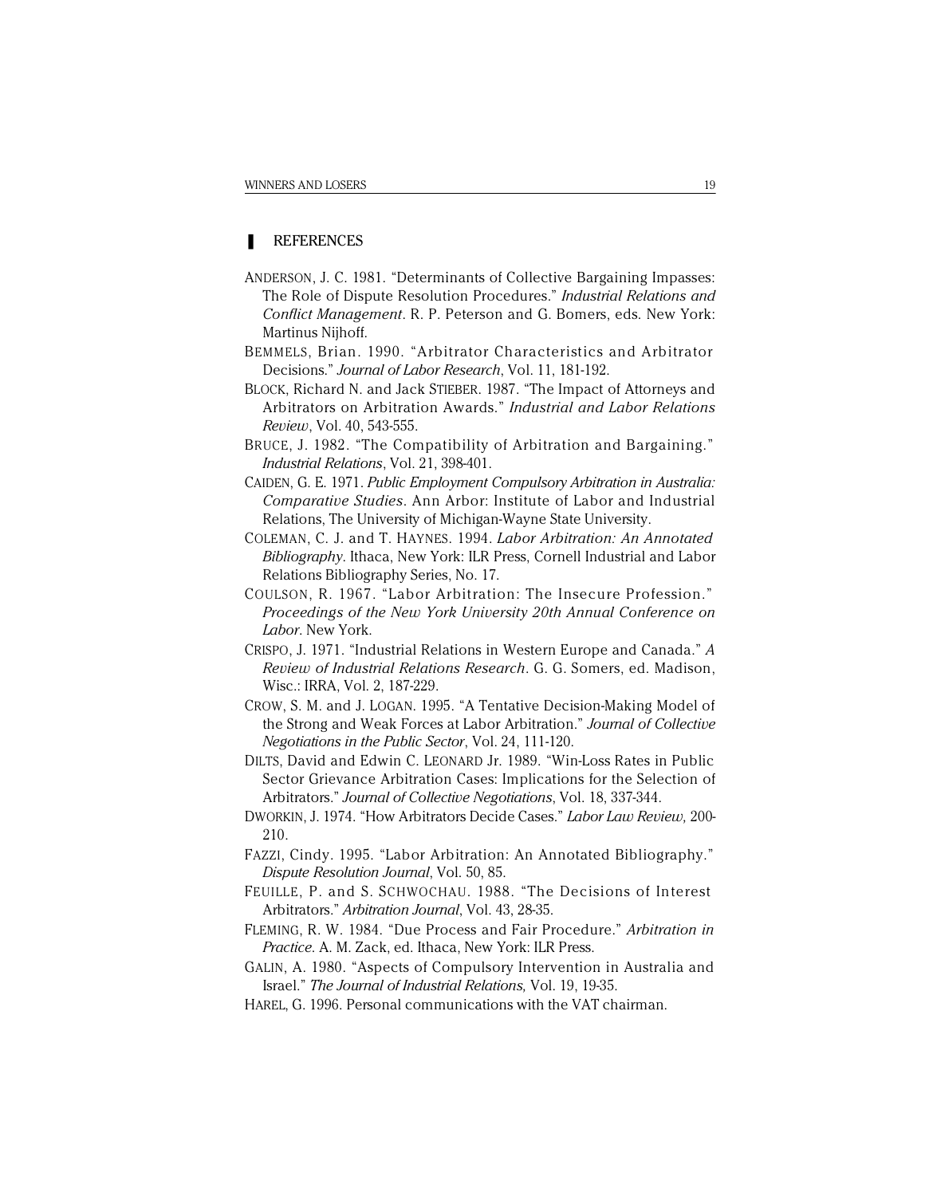# ■ REFERENCES

- ANDERSON, J. C. 1981. "Determinants of Collective Bargaining Impasses: The Role of Dispute Resolution Procedures." *Industrial Relations and Conflict Management*. R. P. Peterson and G. Bomers, eds. New York: Martinus Nijhoff.
- BEMMELS, Brian. 1990. "Arbitrator Characteristics and Arbitrator Decisions." *Journal of Labor Research*, Vol. 11, 181-192.
- BLOCK, Richard N. and Jack STIEBER. 1987. "The Impact of Attorneys and Arbitrators on Arbitration Awards." *Industrial and Labor Relations Review*, Vol. 40, 543-555.
- BRUCE, J. 1982. "The Compatibility of Arbitration and Bargaining." *Industrial Relations*, Vol. 21, 398-401.
- CAIDEN, G. E. 1971. *Public Employment Compulsory Arbitration in Australia: Comparative Studies*. Ann Arbor: Institute of Labor and Industrial Relations, The University of Michigan-Wayne State University.
- COLEMAN, C. J. and T. HAYNES. 1994. *Labor Arbitration: An Annotated Bibliography*. Ithaca, New York: ILR Press, Cornell Industrial and Labor Relations Bibliography Series, No. 17.
- COULSON, R. 1967. "Labor Arbitration: The Insecure Profession." *Proceedings of the New York University 20th Annual Conference on Labor*. New York.
- CRISPO, J. 1971. "Industrial Relations in Western Europe and Canada." *A Review of Industrial Relations Research*. G. G. Somers, ed. Madison, Wisc.: IRRA, Vol. 2, 187-229.
- CROW, S. M. and J. LOGAN. 1995. "A Tentative Decision-Making Model of the Strong and Weak Forces at Labor Arbitration." *Journal of Collective Negotiations in the Public Sector*, Vol. 24, 111-120.
- DILTS, David and Edwin C. LEONARD Jr. 1989. "Win-Loss Rates in Public Sector Grievance Arbitration Cases: Implications for the Selection of Arbitrators." *Journal of Collective Negotiations*, Vol. 18, 337-344.
- DWORKIN, J. 1974. "How Arbitrators Decide Cases." *Labor Law Review,* 200- 210.
- FAZZI, Cindy. 1995. "Labor Arbitration: An Annotated Bibliography." *Dispute Resolution Journal*, Vol. 50, 85.
- FEUILLE, P. and S. SCHWOCHAU. 1988. "The Decisions of Interest Arbitrators." *Arbitration Journal*, Vol. 43, 28-35.
- FLEMING, R. W. 1984. "Due Process and Fair Procedure." *Arbitration in Practice*. A. M. Zack, ed. Ithaca, New York: ILR Press.
- GALIN, A. 1980. "Aspects of Compulsory Intervention in Australia and Israel." *The Journal of Industrial Relations,* Vol. 19, 19-35.
- HAREL, G. 1996. Personal communications with the VAT chairman.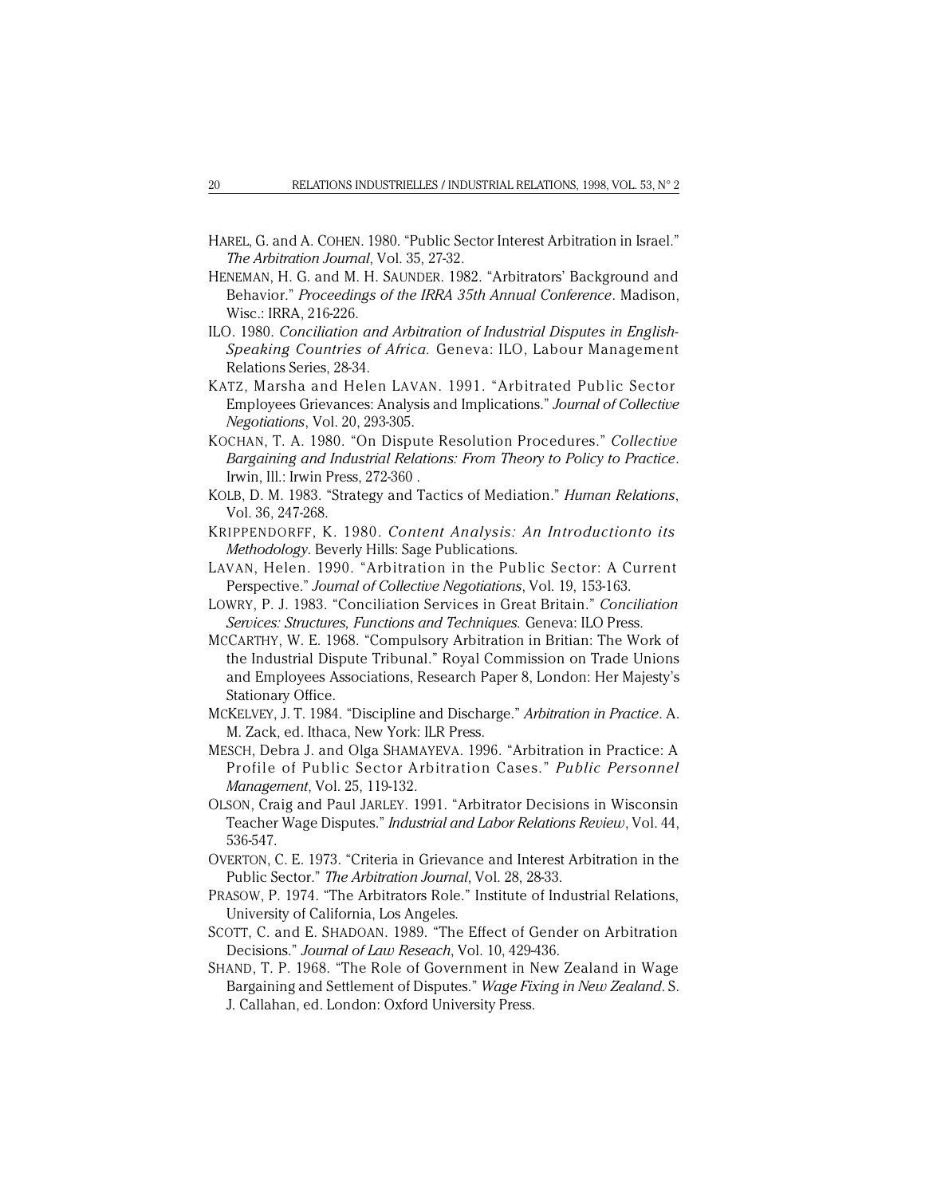- HAREL, G. and A. COHEN. 1980. "Public Sector Interest Arbitration in Israel." *The Arbitration Journal*, Vol. 35, 27-32.
- HENEMAN, H. G. and M. H. SAUNDER. 1982. "Arbitrators' Background and Behavior." *Proceedings of the IRRA 35th Annual Conference*. Madison, Wisc.: IRRA, 216-226.
- ILO. 1980. *Conciliation and Arbitration of Industrial Disputes in English-Speaking Countries of Africa.* Geneva: ILO, Labour Management Relations Series, 28-34.
- KATZ, Marsha and Helen LAVAN. 1991. "Arbitrated Public Sector Employees Grievances: Analysis and Implications." *Journal of Collective Negotiations*, Vol. 20, 293-305.
- KOCHAN, T. A. 1980. "On Dispute Resolution Procedures." *Collective Bargaining and Industrial Relations: From Theory to Policy to Practice*. Irwin, Ill.: Irwin Press, 272-360 .
- KOLB, D. M. 1983. "Strategy and Tactics of Mediation." *Human Relations*, Vol. 36, 247-268.
- KRIPPENDORFF, K. 1980. *Content Analysis: An Introductionto its Methodology*. Beverly Hills: Sage Publications.
- LAVAN, Helen. 1990. "Arbitration in the Public Sector: A Current Perspective." *Journal of Collective Negotiations*, Vol. 19, 153-163.
- LOWRY, P. J. 1983. "Conciliation Services in Great Britain." *Conciliation Services: Structures, Functions and Techniques.* Geneva: ILO Press.
- MCCARTHY, W. E. 1968. "Compulsory Arbitration in Britian: The Work of the Industrial Dispute Tribunal." Royal Commission on Trade Unions and Employees Associations, Research Paper 8, London: Her Majesty's Stationary Office.
- MCKELVEY, J. T. 1984. "Discipline and Discharge." *Arbitration in Practice*. A. M. Zack, ed. Ithaca, New York: ILR Press.
- MESCH, Debra J. and Olga SHAMAYEVA. 1996. "Arbitration in Practice: A Profile of Public Sector Arbitration Cases." *Public Personnel Management*, Vol. 25, 119-132.
- OLSON, Craig and Paul JARLEY. 1991. "Arbitrator Decisions in Wisconsin Teacher Wage Disputes." *Industrial and Labor Relations Review*, Vol. 44, 536-547.
- OVERTON, C. E. 1973. "Criteria in Grievance and Interest Arbitration in the Public Sector." *The Arbitration Journal*, Vol. 28, 28-33.
- PRASOW, P. 1974. "The Arbitrators Role." Institute of Industrial Relations, University of California, Los Angeles.
- SCOTT, C. and E. SHADOAN. 1989. "The Effect of Gender on Arbitration Decisions." *Journal of Law Reseach*, Vol. 10, 429-436.
- SHAND, T. P. 1968. "The Role of Government in New Zealand in Wage Bargaining and Settlement of Disputes." *Wage Fixing in New Zealand*. S. J. Callahan, ed. London: Oxford University Press.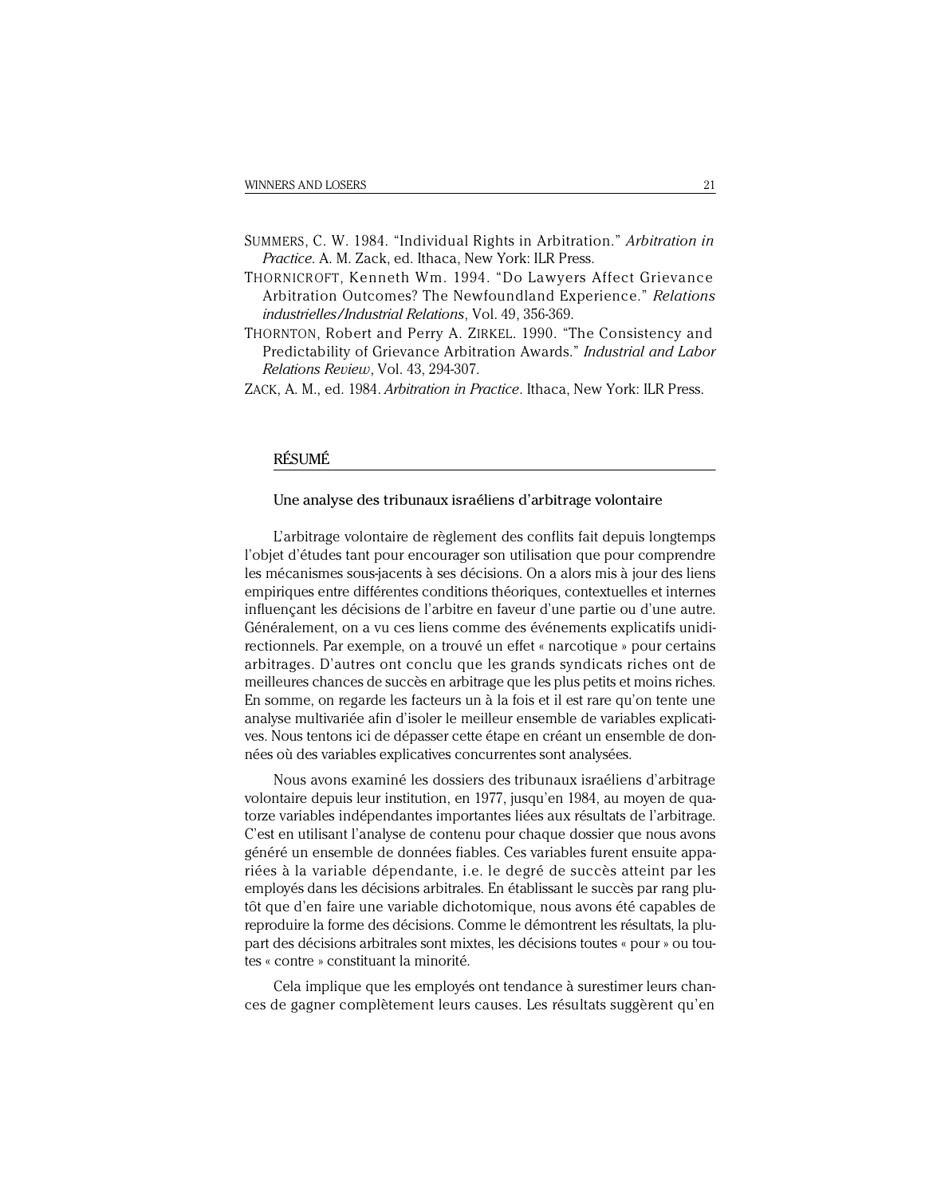- SUMMERS, C. W. 1984. "Individual Rights in Arbitration." *Arbitration in Practice*. A. M. Zack, ed. Ithaca, New York: ILR Press.
- THORNICROFT, Kenneth Wm. 1994. "Do Lawyers Affect Grievance Arbitration Outcomes? The Newfoundland Experience." *Relations industrielles/Industrial Relations*, Vol. 49, 356-369.
- THORNTON, Robert and Perry A. ZIRKEL. 1990. "The Consistency and Predictability of Grievance Arbitration Awards." *Industrial and Labor Relations Review*, Vol. 43, 294-307.
- ZACK, A. M., ed. 1984. *Arbitration in Practice*. Ithaca, New York: ILR Press.

# RÉSUMÉ

#### Une analyse des tribunaux israéliens d'arbitrage volontaire

L'arbitrage volontaire de règlement des conflits fait depuis longtemps l'objet d'études tant pour encourager son utilisation que pour comprendre les mécanismes sous-jacents à ses décisions. On a alors mis à jour des liens empiriques entre différentes conditions théoriques, contextuelles et internes influençant les décisions de l'arbitre en faveur d'une partie ou d'une autre. Généralement, on a vu ces liens comme des événements explicatifs unidirectionnels. Par exemple, on a trouvé un effet « narcotique » pour certains arbitrages. D'autres ont conclu que les grands syndicats riches ont de meilleures chances de succès en arbitrage que les plus petits et moins riches. En somme, on regarde les facteurs un à la fois et il est rare qu'on tente une analyse multivariée afin d'isoler le meilleur ensemble de variables explicatives. Nous tentons ici de dépasser cette étape en créant un ensemble de données où des variables explicatives concurrentes sont analysées.

Nous avons examiné les dossiers des tribunaux israéliens d'arbitrage volontaire depuis leur institution, en 1977, jusqu'en 1984, au moyen de quatorze variables indépendantes importantes liées aux résultats de l'arbitrage. C'est en utilisant l'analyse de contenu pour chaque dossier que nous avons généré un ensemble de données fiables. Ces variables furent ensuite appariées à la variable dépendante, i.e. le degré de succès atteint par les employés dans les décisions arbitrales. En établissant le succès par rang plutôt que d'en faire une variable dichotomique, nous avons été capables de reproduire la forme des décisions. Comme le démontrent les résultats, la plupart des décisions arbitrales sont mixtes, les décisions toutes « pour » ou toutes « contre » constituant la minorité.

Cela implique que les employés ont tendance à surestimer leurs chances de gagner complètement leurs causes. Les résultats suggèrent qu'en